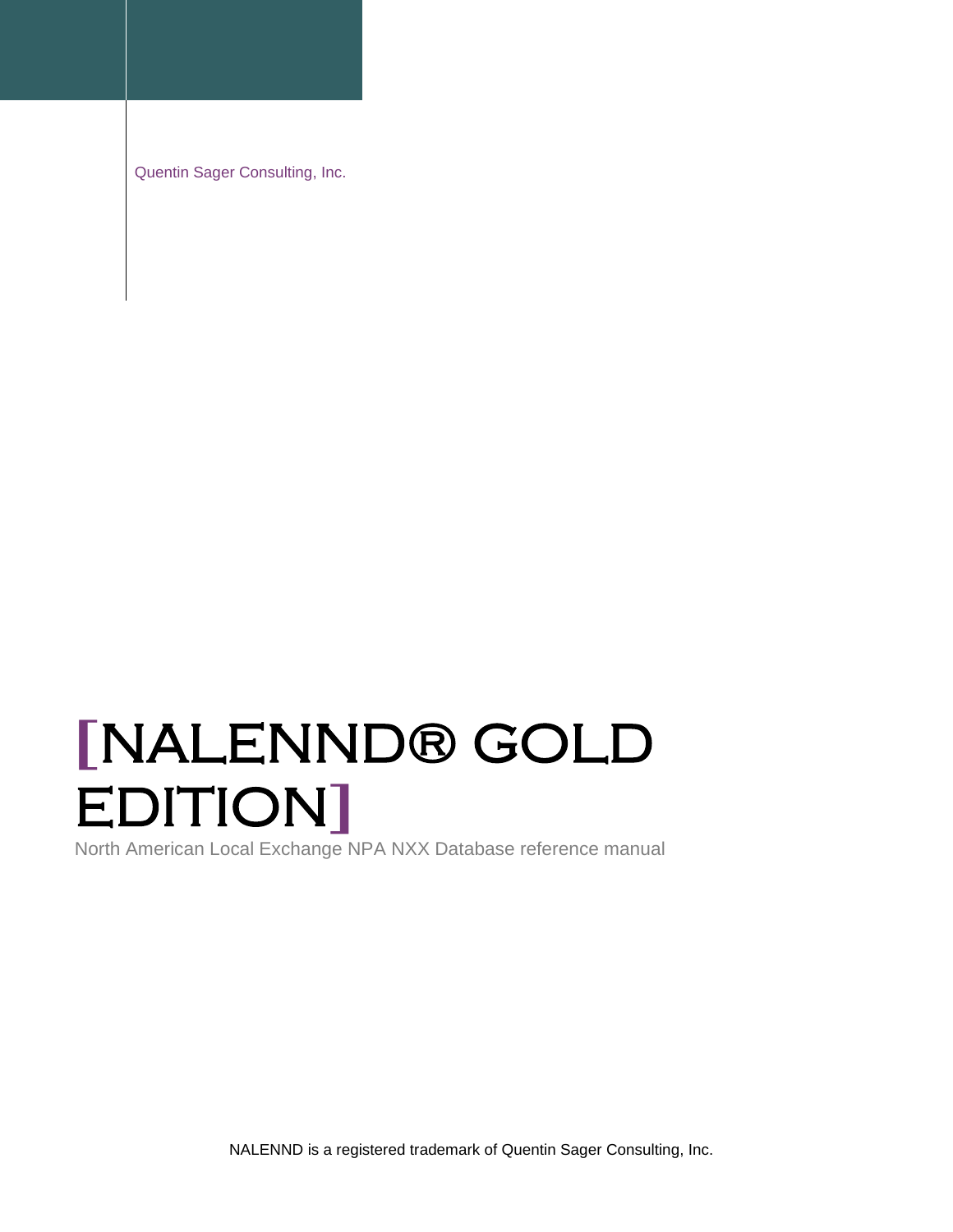Quentin Sager Consulting, Inc.

# **[**NALENND® GOLD EDITION**]**

North American Local Exchange NPA NXX Database reference manual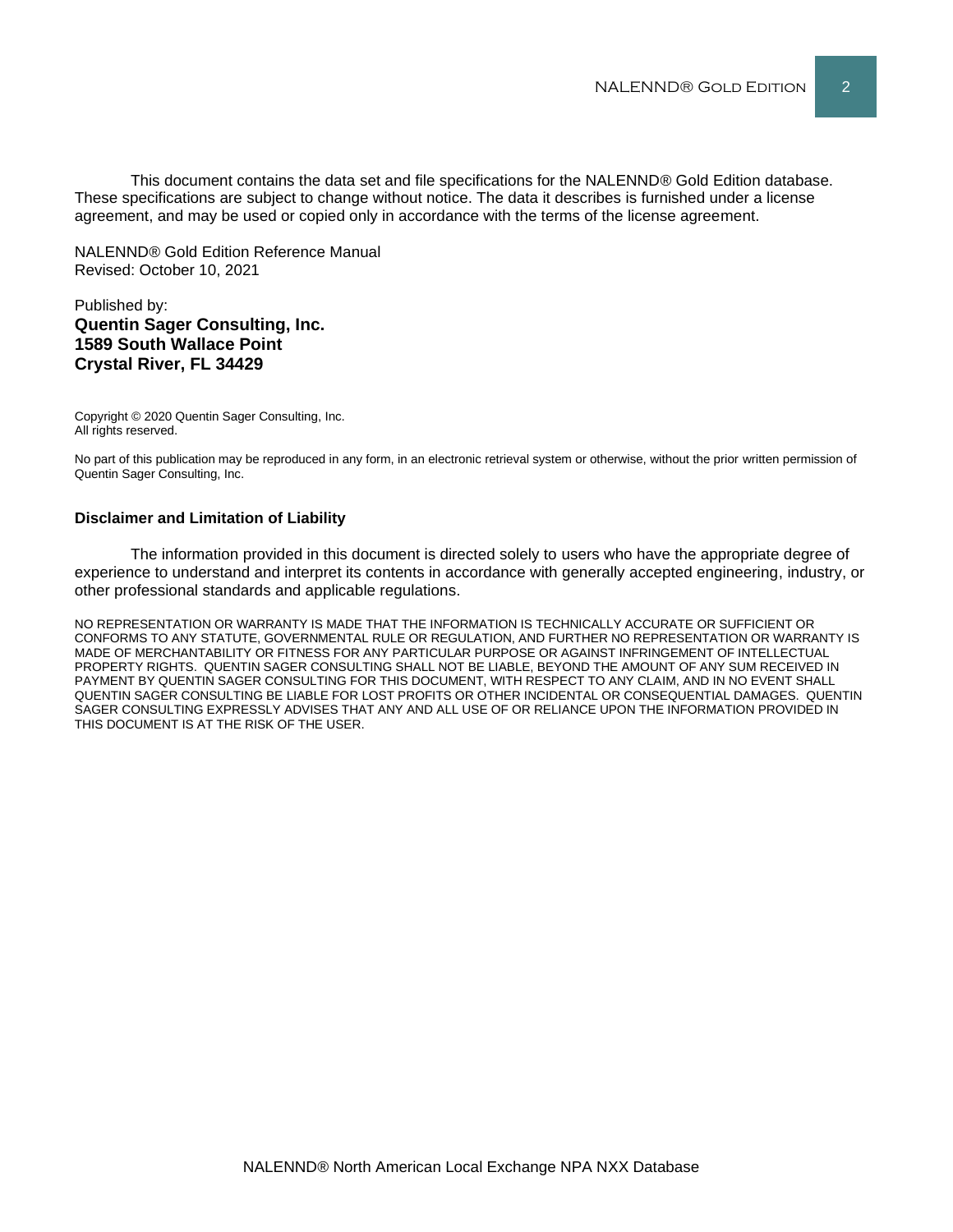This document contains the data set and file specifications for the NALENND® Gold Edition database. These specifications are subject to change without notice. The data it describes is furnished under a license agreement, and may be used or copied only in accordance with the terms of the license agreement.

NALENND® Gold Edition Reference Manual Revised: October 10, 2021

#### Published by: **Quentin Sager Consulting, Inc. 1589 South Wallace Point Crystal River, FL 34429**

Copyright © 2020 Quentin Sager Consulting, Inc. All rights reserved.

No part of this publication may be reproduced in any form, in an electronic retrieval system or otherwise, without the prior written permission of Quentin Sager Consulting, Inc.

#### **Disclaimer and Limitation of Liability**

The information provided in this document is directed solely to users who have the appropriate degree of experience to understand and interpret its contents in accordance with generally accepted engineering, industry, or other professional standards and applicable regulations.

NO REPRESENTATION OR WARRANTY IS MADE THAT THE INFORMATION IS TECHNICALLY ACCURATE OR SUFFICIENT OR CONFORMS TO ANY STATUTE, GOVERNMENTAL RULE OR REGULATION, AND FURTHER NO REPRESENTATION OR WARRANTY IS MADE OF MERCHANTABILITY OR FITNESS FOR ANY PARTICULAR PURPOSE OR AGAINST INFRINGEMENT OF INTELLECTUAL PROPERTY RIGHTS. QUENTIN SAGER CONSULTING SHALL NOT BE LIABLE, BEYOND THE AMOUNT OF ANY SUM RECEIVED IN PAYMENT BY QUENTIN SAGER CONSULTING FOR THIS DOCUMENT, WITH RESPECT TO ANY CLAIM, AND IN NO EVENT SHALL QUENTIN SAGER CONSULTING BE LIABLE FOR LOST PROFITS OR OTHER INCIDENTAL OR CONSEQUENTIAL DAMAGES. QUENTIN SAGER CONSULTING EXPRESSLY ADVISES THAT ANY AND ALL USE OF OR RELIANCE UPON THE INFORMATION PROVIDED IN THIS DOCUMENT IS AT THE RISK OF THE USER.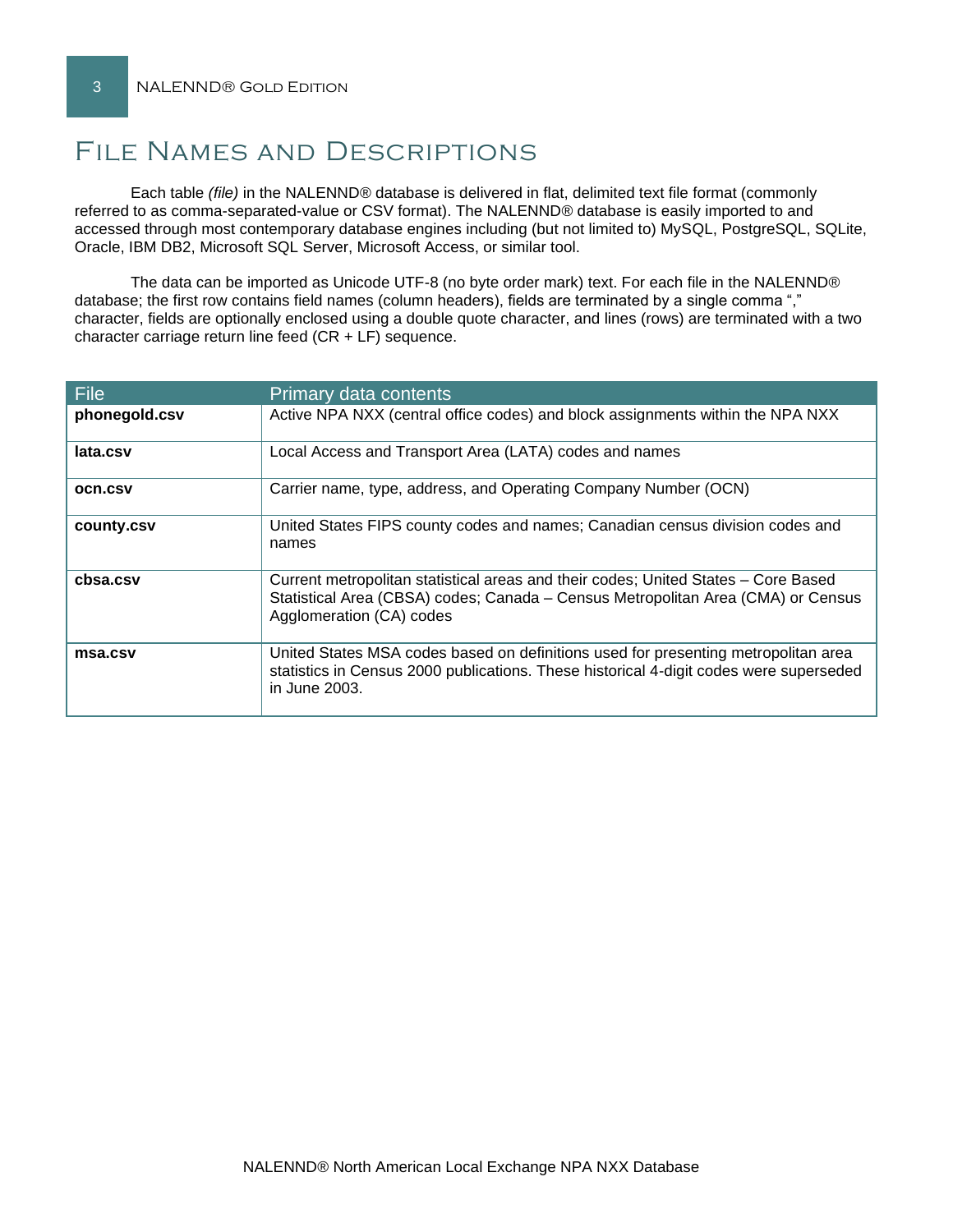# File Names and Descriptions

Each table *(file)* in the NALENND® database is delivered in flat, delimited text file format (commonly referred to as comma-separated-value or CSV format). The NALENND® database is easily imported to and accessed through most contemporary database engines including (but not limited to) MySQL, PostgreSQL, SQLite, Oracle, IBM DB2, Microsoft SQL Server, Microsoft Access, or similar tool.

The data can be imported as Unicode UTF-8 (no byte order mark) text. For each file in the NALENND® database; the first row contains field names (column headers), fields are terminated by a single comma "," character, fields are optionally enclosed using a double quote character, and lines (rows) are terminated with a two character carriage return line feed (CR + LF) sequence.

| File           | Primary data contents                                                                                                                                                                              |  |  |  |
|----------------|----------------------------------------------------------------------------------------------------------------------------------------------------------------------------------------------------|--|--|--|
| phonegold.csv  | Active NPA NXX (central office codes) and block assignments within the NPA NXX                                                                                                                     |  |  |  |
| lata.csv       | Local Access and Transport Area (LATA) codes and names                                                                                                                                             |  |  |  |
| <b>OCN.CSV</b> | Carrier name, type, address, and Operating Company Number (OCN)                                                                                                                                    |  |  |  |
| county.csv     | United States FIPS county codes and names; Canadian census division codes and<br>names                                                                                                             |  |  |  |
| cbsa.csv       | Current metropolitan statistical areas and their codes; United States – Core Based<br>Statistical Area (CBSA) codes; Canada - Census Metropolitan Area (CMA) or Census<br>Agglomeration (CA) codes |  |  |  |
| msa.csv        | United States MSA codes based on definitions used for presenting metropolitan area<br>statistics in Census 2000 publications. These historical 4-digit codes were superseded<br>in June 2003.      |  |  |  |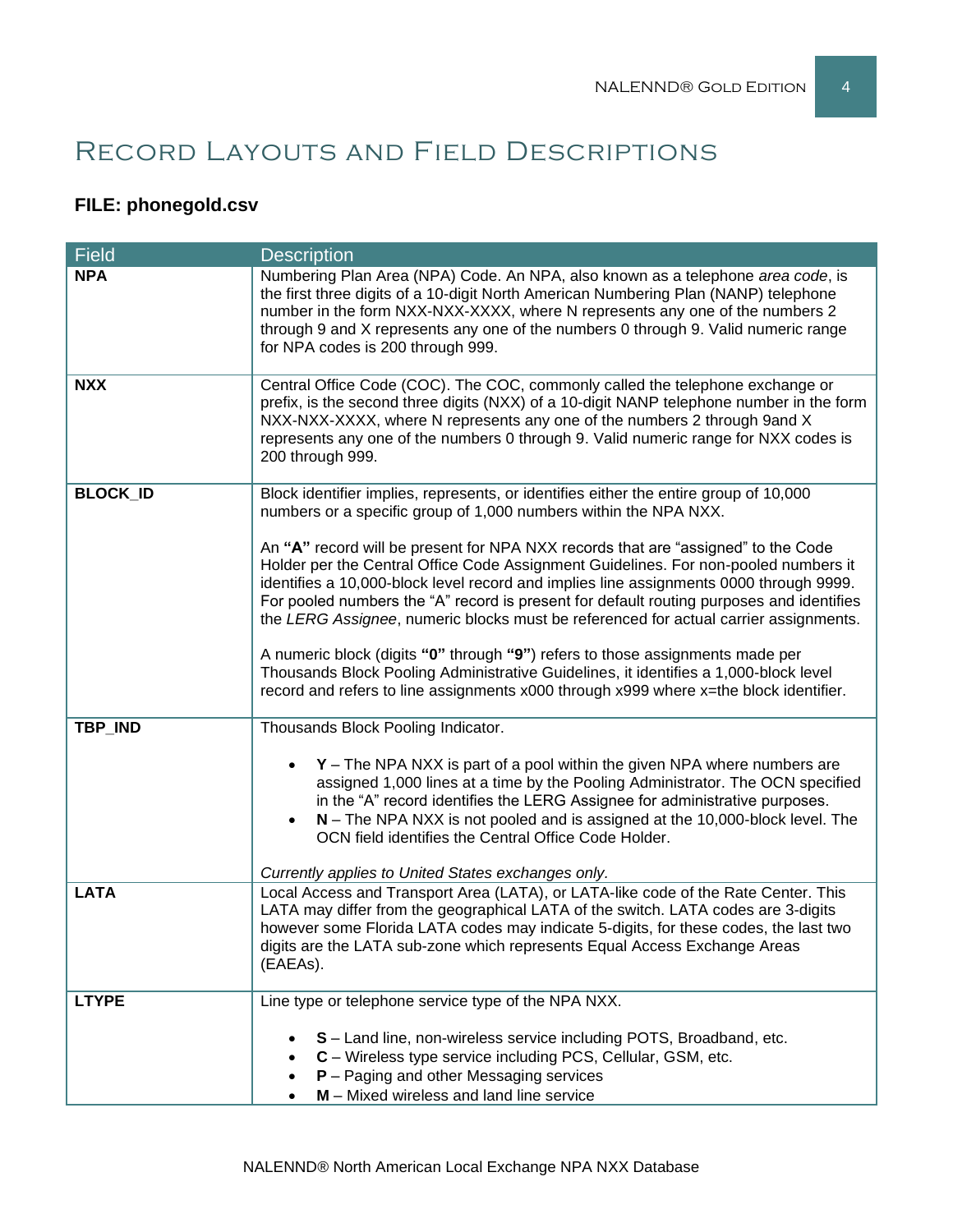# Record Layouts and Field Descriptions

# **FILE: phonegold.csv**

| <b>Field</b>    | <b>Description</b>                                                                                                                                                                                                                                                                                                                                                                                                                                     |  |  |  |
|-----------------|--------------------------------------------------------------------------------------------------------------------------------------------------------------------------------------------------------------------------------------------------------------------------------------------------------------------------------------------------------------------------------------------------------------------------------------------------------|--|--|--|
| <b>NPA</b>      | Numbering Plan Area (NPA) Code. An NPA, also known as a telephone area code, is<br>the first three digits of a 10-digit North American Numbering Plan (NANP) telephone<br>number in the form NXX-NXX-XXXX, where N represents any one of the numbers 2<br>through 9 and X represents any one of the numbers 0 through 9. Valid numeric range<br>for NPA codes is 200 through 999.                                                                      |  |  |  |
| <b>NXX</b>      | Central Office Code (COC). The COC, commonly called the telephone exchange or<br>prefix, is the second three digits (NXX) of a 10-digit NANP telephone number in the form<br>NXX-NXX-XXXX, where N represents any one of the numbers 2 through 9and X<br>represents any one of the numbers 0 through 9. Valid numeric range for NXX codes is<br>200 through 999.                                                                                       |  |  |  |
| <b>BLOCK_ID</b> | Block identifier implies, represents, or identifies either the entire group of 10,000<br>numbers or a specific group of 1,000 numbers within the NPA NXX.                                                                                                                                                                                                                                                                                              |  |  |  |
|                 | An "A" record will be present for NPA NXX records that are "assigned" to the Code<br>Holder per the Central Office Code Assignment Guidelines. For non-pooled numbers it<br>identifies a 10,000-block level record and implies line assignments 0000 through 9999.<br>For pooled numbers the "A" record is present for default routing purposes and identifies<br>the LERG Assignee, numeric blocks must be referenced for actual carrier assignments. |  |  |  |
|                 | A numeric block (digits "0" through "9") refers to those assignments made per<br>Thousands Block Pooling Administrative Guidelines, it identifies a 1,000-block level<br>record and refers to line assignments x000 through x999 where x=the block identifier.                                                                                                                                                                                         |  |  |  |
| TBP_IND         | Thousands Block Pooling Indicator.                                                                                                                                                                                                                                                                                                                                                                                                                     |  |  |  |
|                 | $Y$ – The NPA NXX is part of a pool within the given NPA where numbers are<br>assigned 1,000 lines at a time by the Pooling Administrator. The OCN specified<br>in the "A" record identifies the LERG Assignee for administrative purposes.<br>$N$ – The NPA NXX is not pooled and is assigned at the 10,000-block level. The<br>OCN field identifies the Central Office Code Holder.                                                                  |  |  |  |
|                 | Currently applies to United States exchanges only.                                                                                                                                                                                                                                                                                                                                                                                                     |  |  |  |
| <b>LATA</b>     | Local Access and Transport Area (LATA), or LATA-like code of the Rate Center. This<br>LATA may differ from the geographical LATA of the switch. LATA codes are 3-digits<br>however some Florida LATA codes may indicate 5-digits, for these codes, the last two<br>digits are the LATA sub-zone which represents Equal Access Exchange Areas<br>(EAEAs).                                                                                               |  |  |  |
| <b>LTYPE</b>    | Line type or telephone service type of the NPA NXX.                                                                                                                                                                                                                                                                                                                                                                                                    |  |  |  |
|                 | S - Land line, non-wireless service including POTS, Broadband, etc.<br>C - Wireless type service including PCS, Cellular, GSM, etc.<br>$P -$ Paging and other Messaging services<br>$M$ – Mixed wireless and land line service                                                                                                                                                                                                                         |  |  |  |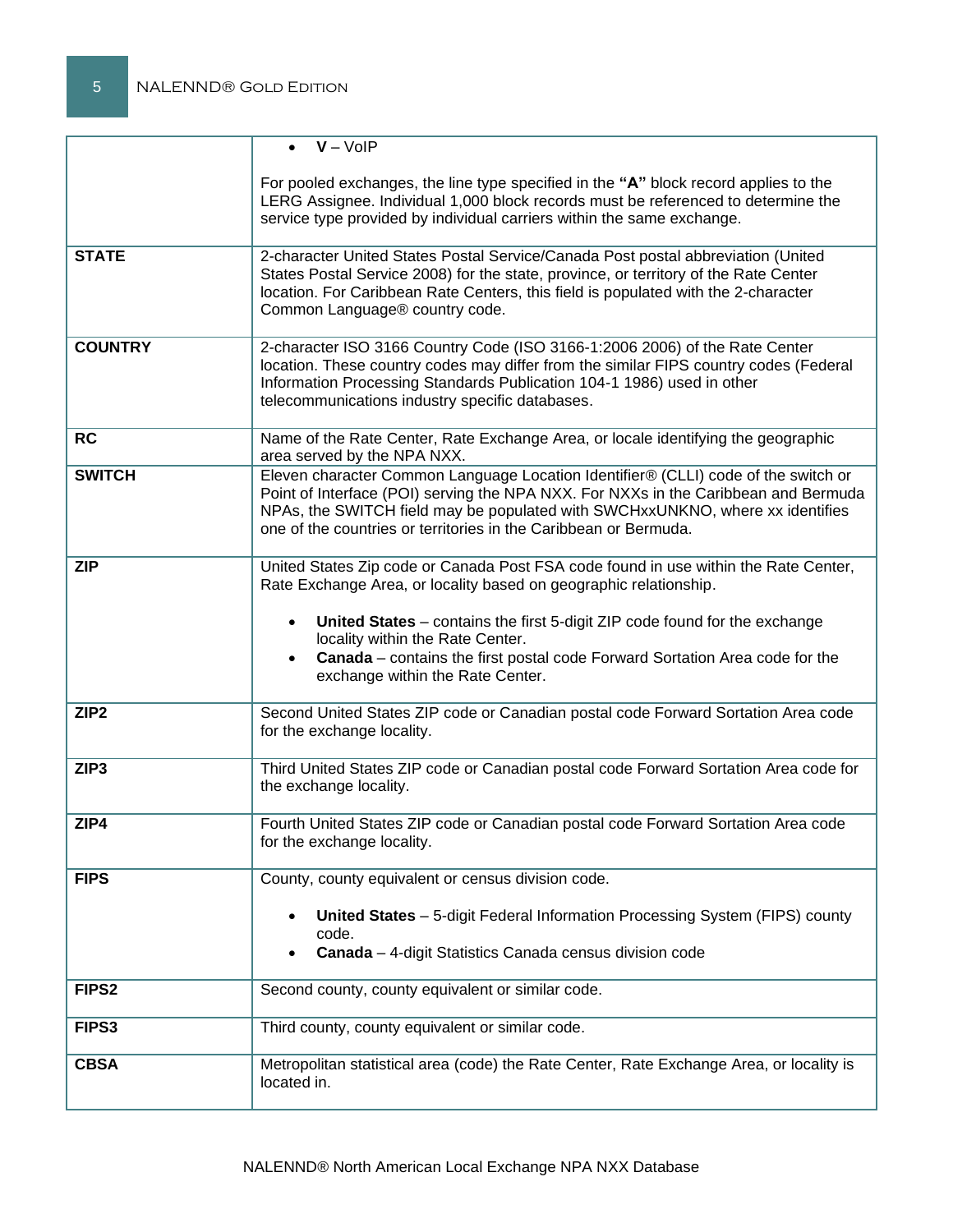|                   | $\bullet$ $V - VolP$                                                                                                                                                                                                                                                                                                                                                                                                    |
|-------------------|-------------------------------------------------------------------------------------------------------------------------------------------------------------------------------------------------------------------------------------------------------------------------------------------------------------------------------------------------------------------------------------------------------------------------|
|                   | For pooled exchanges, the line type specified in the "A" block record applies to the<br>LERG Assignee. Individual 1,000 block records must be referenced to determine the<br>service type provided by individual carriers within the same exchange.                                                                                                                                                                     |
| <b>STATE</b>      | 2-character United States Postal Service/Canada Post postal abbreviation (United<br>States Postal Service 2008) for the state, province, or territory of the Rate Center<br>location. For Caribbean Rate Centers, this field is populated with the 2-character<br>Common Language® country code.                                                                                                                        |
| <b>COUNTRY</b>    | 2-character ISO 3166 Country Code (ISO 3166-1:2006 2006) of the Rate Center<br>location. These country codes may differ from the similar FIPS country codes (Federal<br>Information Processing Standards Publication 104-1 1986) used in other<br>telecommunications industry specific databases.                                                                                                                       |
| <b>RC</b>         | Name of the Rate Center, Rate Exchange Area, or locale identifying the geographic<br>area served by the NPA NXX.                                                                                                                                                                                                                                                                                                        |
| <b>SWITCH</b>     | Eleven character Common Language Location Identifier® (CLLI) code of the switch or<br>Point of Interface (POI) serving the NPA NXX. For NXXs in the Caribbean and Bermuda<br>NPAs, the SWITCH field may be populated with SWCHxxUNKNO, where xx identifies<br>one of the countries or territories in the Caribbean or Bermuda.                                                                                          |
| <b>ZIP</b>        | United States Zip code or Canada Post FSA code found in use within the Rate Center,<br>Rate Exchange Area, or locality based on geographic relationship.<br>United States - contains the first 5-digit ZIP code found for the exchange<br>$\bullet$<br>locality within the Rate Center.<br>Canada - contains the first postal code Forward Sortation Area code for the<br>$\bullet$<br>exchange within the Rate Center. |
| ZIP <sub>2</sub>  | Second United States ZIP code or Canadian postal code Forward Sortation Area code<br>for the exchange locality.                                                                                                                                                                                                                                                                                                         |
| ZIP <sub>3</sub>  | Third United States ZIP code or Canadian postal code Forward Sortation Area code for<br>the exchange locality.                                                                                                                                                                                                                                                                                                          |
| ZIP4              | Fourth United States ZIP code or Canadian postal code Forward Sortation Area code<br>for the exchange locality.                                                                                                                                                                                                                                                                                                         |
| <b>FIPS</b>       | County, county equivalent or census division code.<br>United States - 5-digit Federal Information Processing System (FIPS) county<br>code.<br>Canada - 4-digit Statistics Canada census division code                                                                                                                                                                                                                   |
| FIPS <sub>2</sub> | Second county, county equivalent or similar code.                                                                                                                                                                                                                                                                                                                                                                       |
| FIPS3             | Third county, county equivalent or similar code.                                                                                                                                                                                                                                                                                                                                                                        |
| <b>CBSA</b>       | Metropolitan statistical area (code) the Rate Center, Rate Exchange Area, or locality is<br>located in.                                                                                                                                                                                                                                                                                                                 |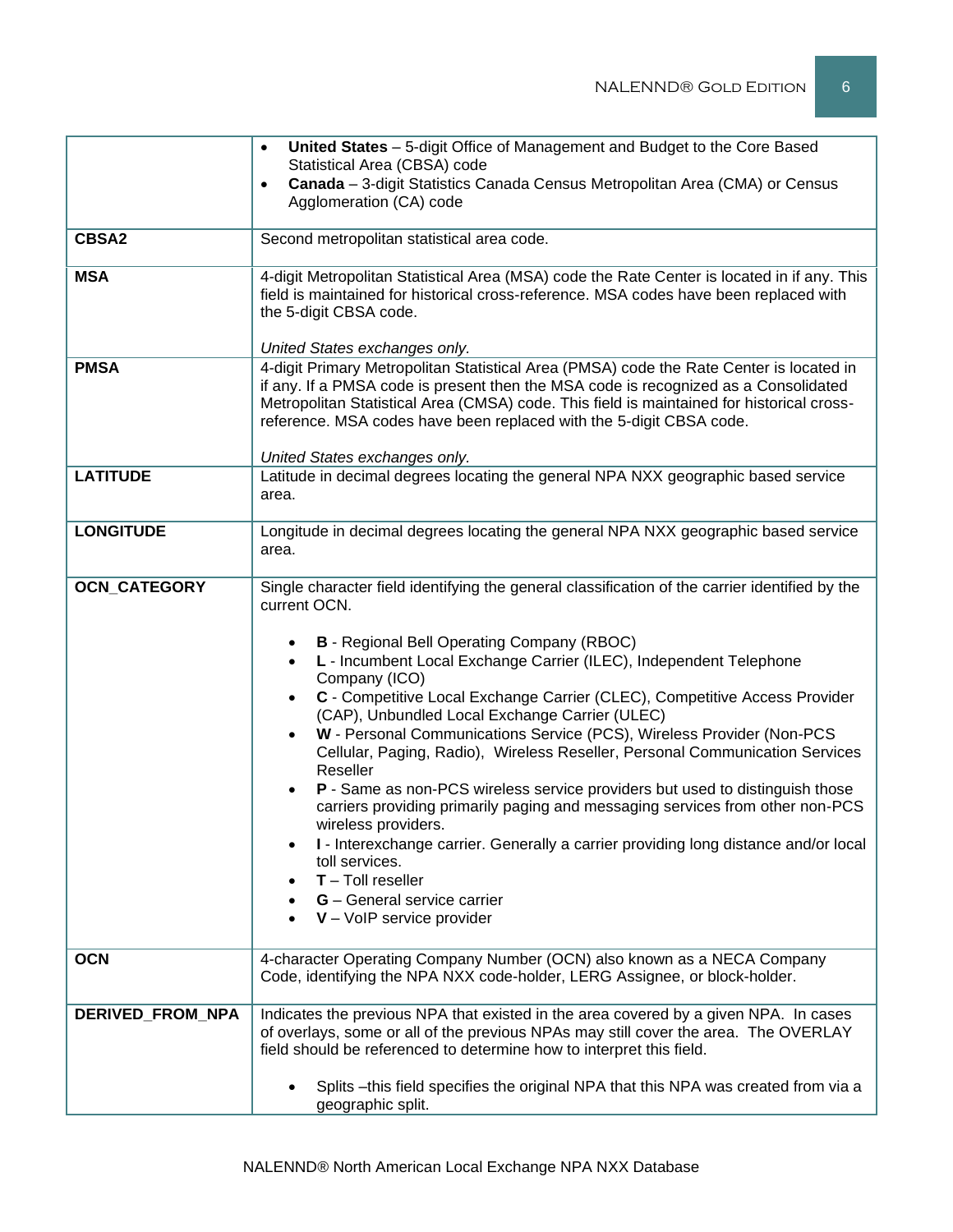|                     | United States - 5-digit Office of Management and Budget to the Core Based<br>$\bullet$                                                                                                                                                                                                                                                                                                                                                                                                                                                                                                                                                                                                                                                                                                                                                                                            |  |  |  |  |
|---------------------|-----------------------------------------------------------------------------------------------------------------------------------------------------------------------------------------------------------------------------------------------------------------------------------------------------------------------------------------------------------------------------------------------------------------------------------------------------------------------------------------------------------------------------------------------------------------------------------------------------------------------------------------------------------------------------------------------------------------------------------------------------------------------------------------------------------------------------------------------------------------------------------|--|--|--|--|
|                     | Statistical Area (CBSA) code                                                                                                                                                                                                                                                                                                                                                                                                                                                                                                                                                                                                                                                                                                                                                                                                                                                      |  |  |  |  |
|                     | Canada - 3-digit Statistics Canada Census Metropolitan Area (CMA) or Census<br>$\bullet$<br>Agglomeration (CA) code                                                                                                                                                                                                                                                                                                                                                                                                                                                                                                                                                                                                                                                                                                                                                               |  |  |  |  |
|                     |                                                                                                                                                                                                                                                                                                                                                                                                                                                                                                                                                                                                                                                                                                                                                                                                                                                                                   |  |  |  |  |
| <b>CBSA2</b>        | Second metropolitan statistical area code.                                                                                                                                                                                                                                                                                                                                                                                                                                                                                                                                                                                                                                                                                                                                                                                                                                        |  |  |  |  |
| <b>MSA</b>          | 4-digit Metropolitan Statistical Area (MSA) code the Rate Center is located in if any. This<br>field is maintained for historical cross-reference. MSA codes have been replaced with<br>the 5-digit CBSA code.<br>United States exchanges only.                                                                                                                                                                                                                                                                                                                                                                                                                                                                                                                                                                                                                                   |  |  |  |  |
| <b>PMSA</b>         | 4-digit Primary Metropolitan Statistical Area (PMSA) code the Rate Center is located in<br>if any. If a PMSA code is present then the MSA code is recognized as a Consolidated<br>Metropolitan Statistical Area (CMSA) code. This field is maintained for historical cross-<br>reference. MSA codes have been replaced with the 5-digit CBSA code.<br>United States exchanges only.                                                                                                                                                                                                                                                                                                                                                                                                                                                                                               |  |  |  |  |
| <b>LATITUDE</b>     | Latitude in decimal degrees locating the general NPA NXX geographic based service<br>area.                                                                                                                                                                                                                                                                                                                                                                                                                                                                                                                                                                                                                                                                                                                                                                                        |  |  |  |  |
| <b>LONGITUDE</b>    | Longitude in decimal degrees locating the general NPA NXX geographic based service<br>area.                                                                                                                                                                                                                                                                                                                                                                                                                                                                                                                                                                                                                                                                                                                                                                                       |  |  |  |  |
| <b>OCN_CATEGORY</b> | Single character field identifying the general classification of the carrier identified by the<br>current OCN.                                                                                                                                                                                                                                                                                                                                                                                                                                                                                                                                                                                                                                                                                                                                                                    |  |  |  |  |
|                     | <b>B</b> - Regional Bell Operating Company (RBOC)<br>L - Incumbent Local Exchange Carrier (ILEC), Independent Telephone<br>$\bullet$<br>Company (ICO)<br>C - Competitive Local Exchange Carrier (CLEC), Competitive Access Provider<br>$\bullet$<br>(CAP), Unbundled Local Exchange Carrier (ULEC)<br>W - Personal Communications Service (PCS), Wireless Provider (Non-PCS<br>Cellular, Paging, Radio), Wireless Reseller, Personal Communication Services<br>Reseller<br>P - Same as non-PCS wireless service providers but used to distinguish those<br>$\bullet$<br>carriers providing primarily paging and messaging services from other non-PCS<br>wireless providers.<br>I - Interexchange carrier. Generally a carrier providing long distance and/or local<br>toll services.<br>$T -$ Toll reseller<br><b>G</b> - General service carrier<br>$V - VolP$ service provider |  |  |  |  |
| <b>OCN</b>          | 4-character Operating Company Number (OCN) also known as a NECA Company<br>Code, identifying the NPA NXX code-holder, LERG Assignee, or block-holder.                                                                                                                                                                                                                                                                                                                                                                                                                                                                                                                                                                                                                                                                                                                             |  |  |  |  |
| DERIVED_FROM_NPA    | Indicates the previous NPA that existed in the area covered by a given NPA. In cases<br>of overlays, some or all of the previous NPAs may still cover the area. The OVERLAY<br>field should be referenced to determine how to interpret this field.                                                                                                                                                                                                                                                                                                                                                                                                                                                                                                                                                                                                                               |  |  |  |  |
|                     | Splits - this field specifies the original NPA that this NPA was created from via a<br>$\bullet$<br>geographic split.                                                                                                                                                                                                                                                                                                                                                                                                                                                                                                                                                                                                                                                                                                                                                             |  |  |  |  |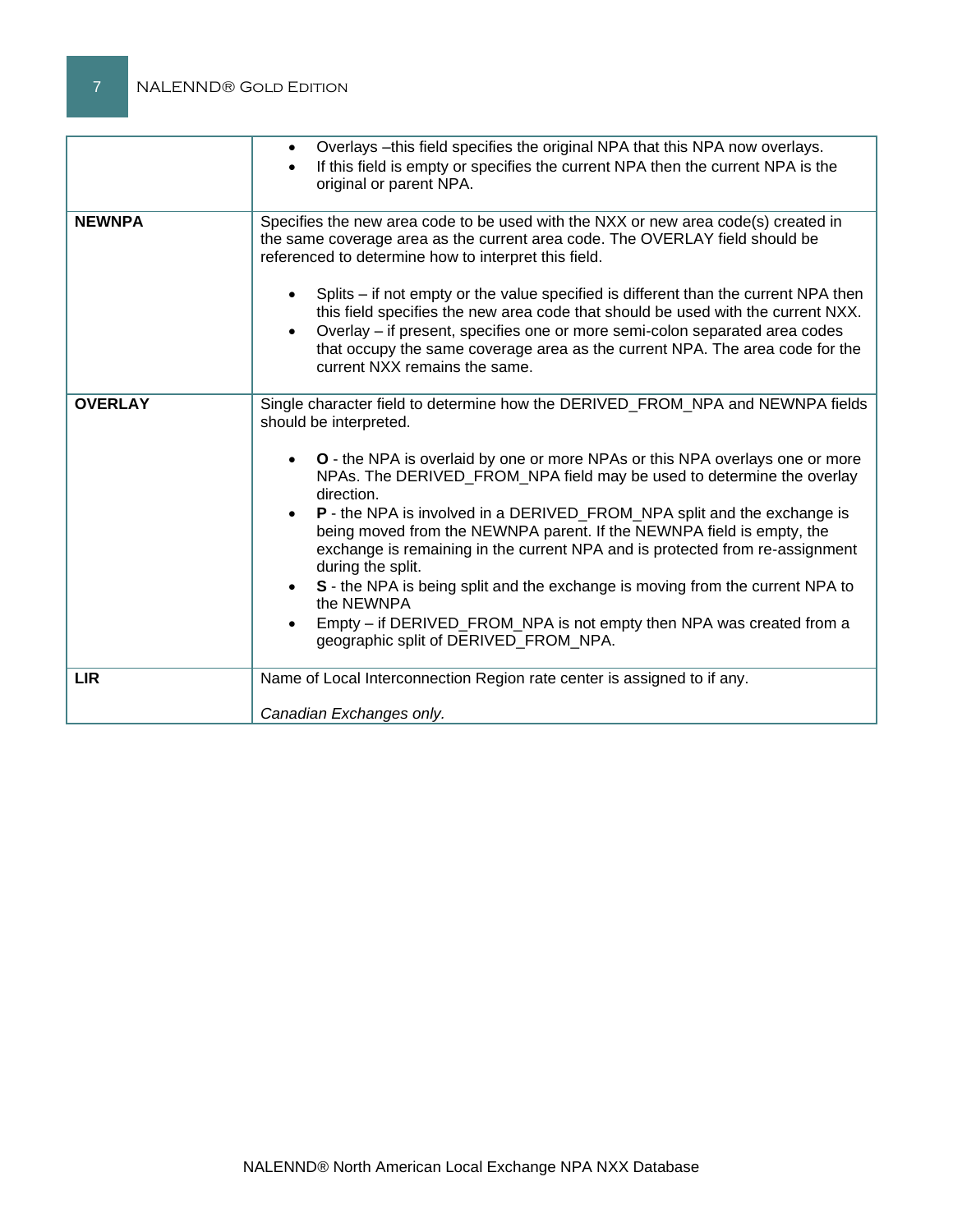|                | Overlays - this field specifies the original NPA that this NPA now overlays.<br>If this field is empty or specifies the current NPA then the current NPA is the<br>original or parent NPA.                                                                                                                                                                                                                                                                                                                                                                                                                                                                                                                                                                      |  |
|----------------|-----------------------------------------------------------------------------------------------------------------------------------------------------------------------------------------------------------------------------------------------------------------------------------------------------------------------------------------------------------------------------------------------------------------------------------------------------------------------------------------------------------------------------------------------------------------------------------------------------------------------------------------------------------------------------------------------------------------------------------------------------------------|--|
| <b>NEWNPA</b>  | Specifies the new area code to be used with the NXX or new area code(s) created in<br>the same coverage area as the current area code. The OVERLAY field should be<br>referenced to determine how to interpret this field.<br>Splits – if not empty or the value specified is different than the current NPA then<br>this field specifies the new area code that should be used with the current NXX.<br>Overlay - if present, specifies one or more semi-colon separated area codes<br>that occupy the same coverage area as the current NPA. The area code for the<br>current NXX remains the same.                                                                                                                                                           |  |
| <b>OVERLAY</b> | Single character field to determine how the DERIVED_FROM_NPA and NEWNPA fields<br>should be interpreted.<br><b>O</b> - the NPA is overlaid by one or more NPAs or this NPA overlays one or more<br>NPAs. The DERIVED FROM NPA field may be used to determine the overlay<br>direction.<br>P - the NPA is involved in a DERIVED_FROM_NPA split and the exchange is<br>being moved from the NEWNPA parent. If the NEWNPA field is empty, the<br>exchange is remaining in the current NPA and is protected from re-assignment<br>during the split.<br>S - the NPA is being split and the exchange is moving from the current NPA to<br>the NEWNPA<br>Empty – if DERIVED_FROM_NPA is not empty then NPA was created from a<br>geographic split of DERIVED_FROM_NPA. |  |
| <b>LIR</b>     | Name of Local Interconnection Region rate center is assigned to if any.                                                                                                                                                                                                                                                                                                                                                                                                                                                                                                                                                                                                                                                                                         |  |
|                | Canadian Exchanges only.                                                                                                                                                                                                                                                                                                                                                                                                                                                                                                                                                                                                                                                                                                                                        |  |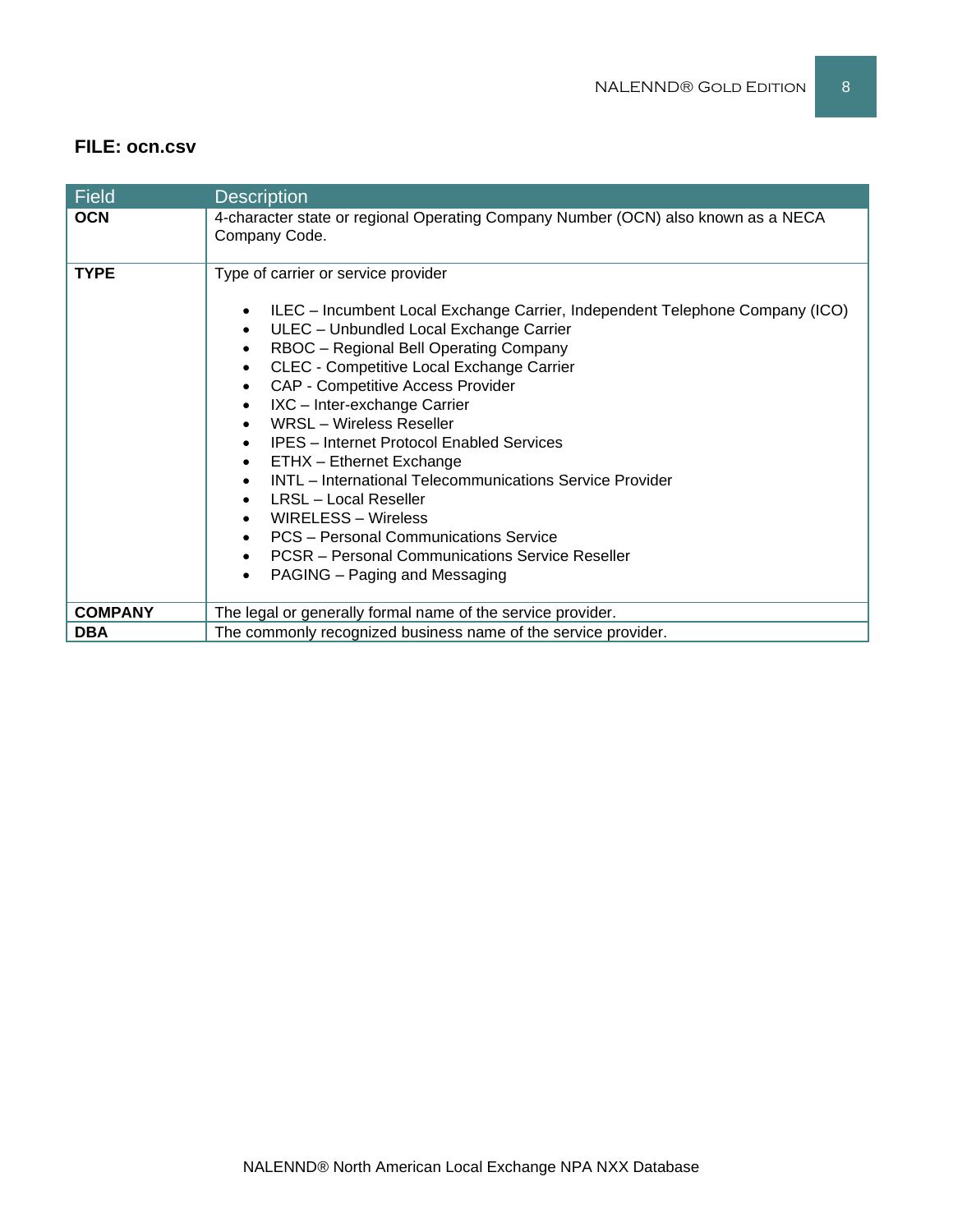## **FILE: ocn.csv**

| <b>Field</b>   | <b>Description</b>                                                                                                                                                                                                                                                                                                                                                                                                                                                                                                                                                                                                                                                                                                                                                                             |
|----------------|------------------------------------------------------------------------------------------------------------------------------------------------------------------------------------------------------------------------------------------------------------------------------------------------------------------------------------------------------------------------------------------------------------------------------------------------------------------------------------------------------------------------------------------------------------------------------------------------------------------------------------------------------------------------------------------------------------------------------------------------------------------------------------------------|
| <b>OCN</b>     | 4-character state or regional Operating Company Number (OCN) also known as a NECA<br>Company Code.                                                                                                                                                                                                                                                                                                                                                                                                                                                                                                                                                                                                                                                                                             |
| <b>TYPE</b>    | Type of carrier or service provider<br>ILEC - Incumbent Local Exchange Carrier, Independent Telephone Company (ICO)<br>$\bullet$<br>ULEC - Unbundled Local Exchange Carrier<br>$\bullet$<br>RBOC - Regional Bell Operating Company<br>$\bullet$<br>CLEC - Competitive Local Exchange Carrier<br>$\bullet$<br><b>CAP - Competitive Access Provider</b><br>$\bullet$<br>IXC - Inter-exchange Carrier<br><b>WRSL-Wireless Reseller</b><br><b>IPES</b> – Internet Protocol Enabled Services<br>ETHX - Ethernet Exchange<br>$\bullet$<br><b>INTL</b> – International Telecommunications Service Provider<br>LRSL – Local Reseller<br><b>WIRELESS - Wireless</b><br>PCS - Personal Communications Service<br><b>PCSR</b> – Personal Communications Service Reseller<br>PAGING – Paging and Messaging |
| <b>COMPANY</b> | The legal or generally formal name of the service provider.                                                                                                                                                                                                                                                                                                                                                                                                                                                                                                                                                                                                                                                                                                                                    |
| <b>DBA</b>     | The commonly recognized business name of the service provider.                                                                                                                                                                                                                                                                                                                                                                                                                                                                                                                                                                                                                                                                                                                                 |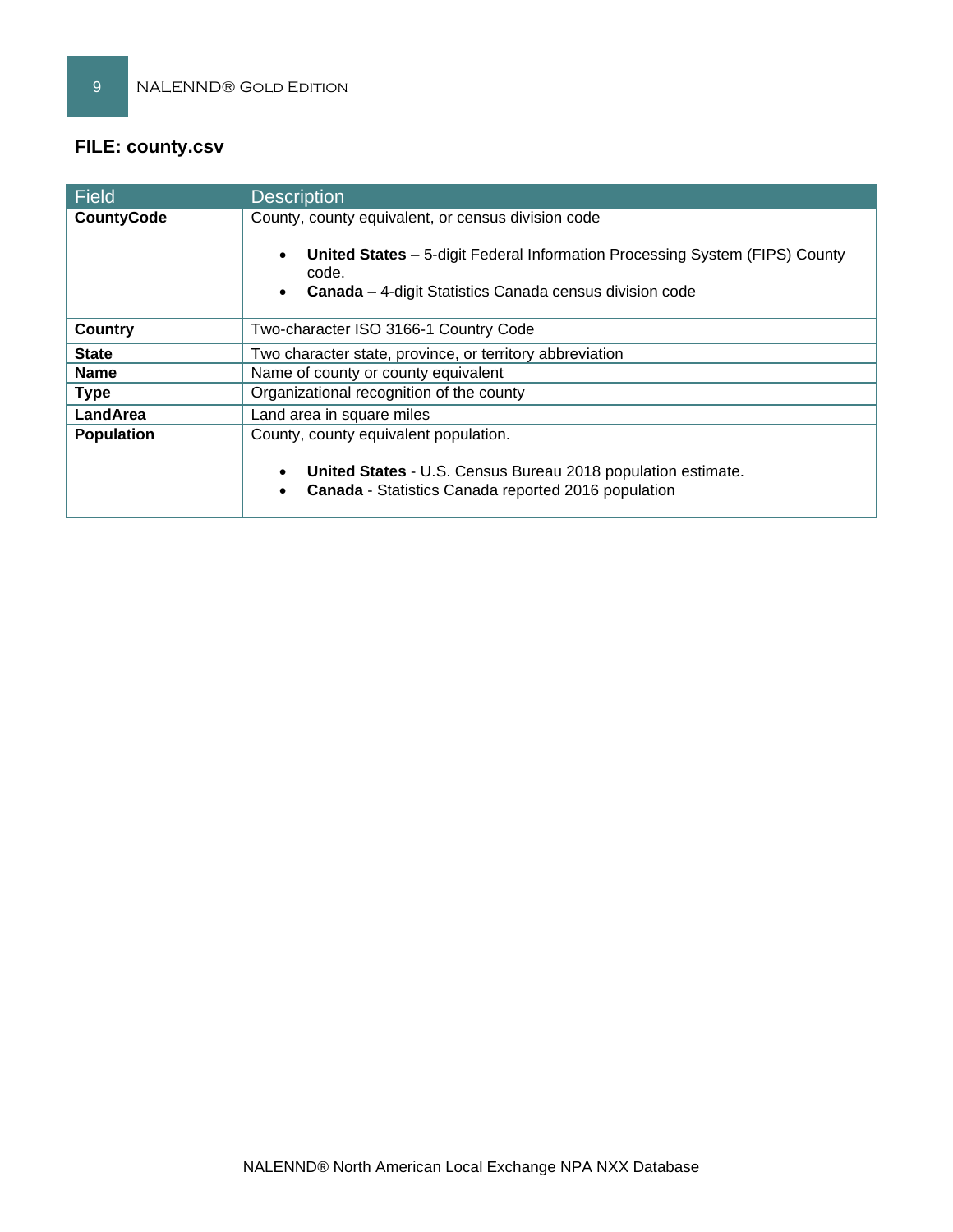# **FILE: county.csv**

| Field             | <b>Description</b>                                                                                                                                            |  |  |  |
|-------------------|---------------------------------------------------------------------------------------------------------------------------------------------------------------|--|--|--|
| <b>CountyCode</b> | County, county equivalent, or census division code                                                                                                            |  |  |  |
|                   | <b>United States</b> – 5-digit Federal Information Processing System (FIPS) County<br>code.<br><b>Canada</b> – 4-digit Statistics Canada census division code |  |  |  |
| Country           | Two-character ISO 3166-1 Country Code                                                                                                                         |  |  |  |
| <b>State</b>      | Two character state, province, or territory abbreviation                                                                                                      |  |  |  |
| <b>Name</b>       | Name of county or county equivalent                                                                                                                           |  |  |  |
| <b>Type</b>       | Organizational recognition of the county                                                                                                                      |  |  |  |
| LandArea          | Land area in square miles                                                                                                                                     |  |  |  |
| <b>Population</b> | County, county equivalent population.                                                                                                                         |  |  |  |
|                   | United States - U.S. Census Bureau 2018 population estimate.<br>Canada - Statistics Canada reported 2016 population                                           |  |  |  |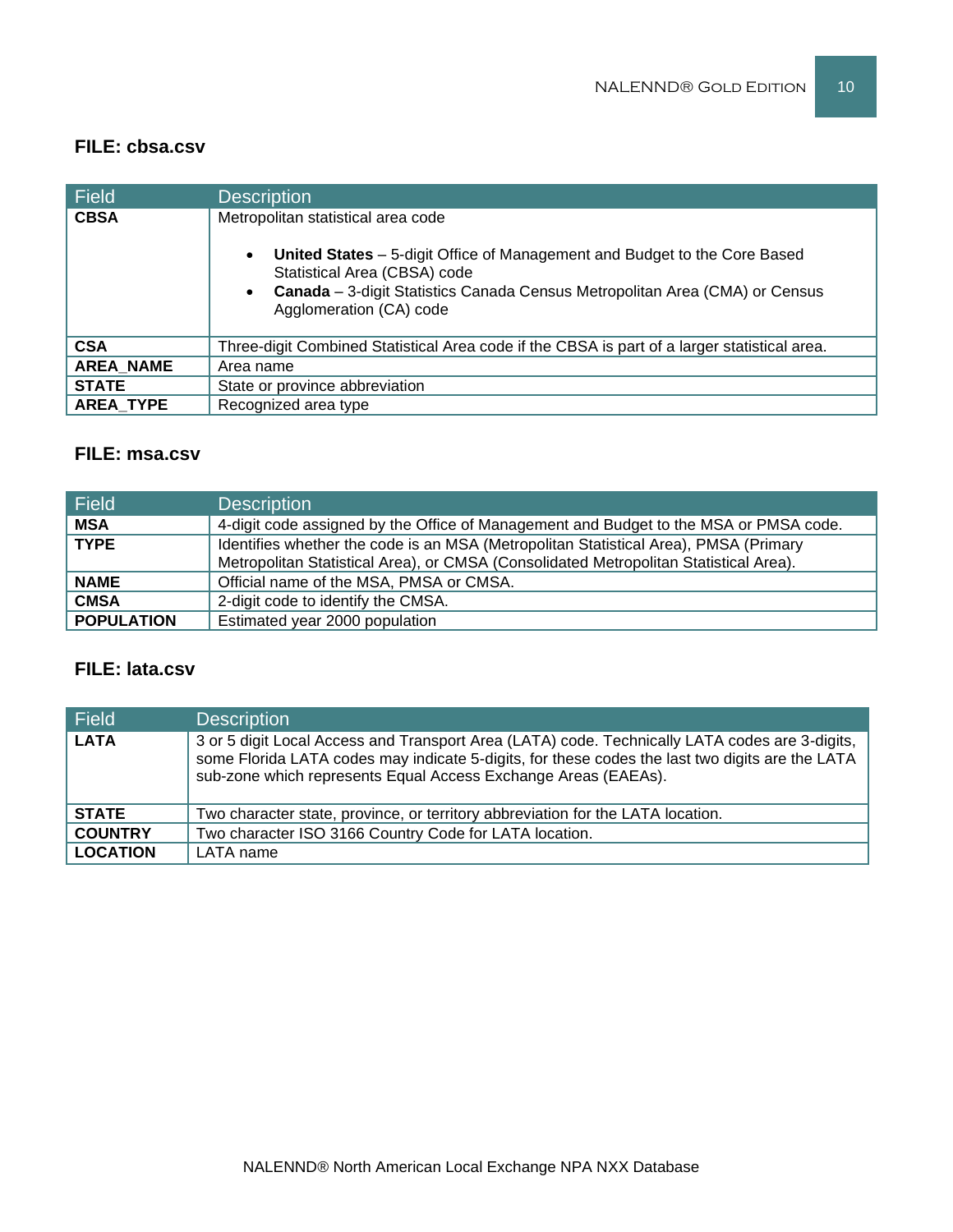## **FILE: cbsa.csv**

| Field            | <b>Description</b>                                                                                                                                  |
|------------------|-----------------------------------------------------------------------------------------------------------------------------------------------------|
| <b>CBSA</b>      | Metropolitan statistical area code<br>United States - 5-digit Office of Management and Budget to the Core Based<br>$\bullet$                        |
|                  | Statistical Area (CBSA) code<br>Canada - 3-digit Statistics Canada Census Metropolitan Area (CMA) or Census<br>$\bullet$<br>Agglomeration (CA) code |
| <b>CSA</b>       | Three-digit Combined Statistical Area code if the CBSA is part of a larger statistical area.                                                        |
| <b>AREA NAME</b> | Area name                                                                                                                                           |
| <b>STATE</b>     | State or province abbreviation                                                                                                                      |
| <b>AREA TYPE</b> | Recognized area type                                                                                                                                |

# **FILE: msa.csv**

| <b>Field</b>      | <b>Description</b>                                                                                                                                                            |
|-------------------|-------------------------------------------------------------------------------------------------------------------------------------------------------------------------------|
| <b>MSA</b>        | 4-digit code assigned by the Office of Management and Budget to the MSA or PMSA code.                                                                                         |
| <b>TYPE</b>       | Identifies whether the code is an MSA (Metropolitan Statistical Area), PMSA (Primary<br>Metropolitan Statistical Area), or CMSA (Consolidated Metropolitan Statistical Area). |
| <b>NAME</b>       | Official name of the MSA, PMSA or CMSA.                                                                                                                                       |
| <b>CMSA</b>       | 2-digit code to identify the CMSA.                                                                                                                                            |
| <b>POPULATION</b> | Estimated year 2000 population                                                                                                                                                |

# **FILE: lata.csv**

| Field           | <b>Description</b>                                                                                                                                                                                                                                                  |
|-----------------|---------------------------------------------------------------------------------------------------------------------------------------------------------------------------------------------------------------------------------------------------------------------|
| <b>LATA</b>     | 3 or 5 digit Local Access and Transport Area (LATA) code. Technically LATA codes are 3-digits,<br>some Florida LATA codes may indicate 5-digits, for these codes the last two digits are the LATA<br>sub-zone which represents Equal Access Exchange Areas (EAEAs). |
| <b>STATE</b>    | Two character state, province, or territory abbreviation for the LATA location.                                                                                                                                                                                     |
| <b>COUNTRY</b>  | Two character ISO 3166 Country Code for LATA location.                                                                                                                                                                                                              |
| <b>LOCATION</b> | LATA name                                                                                                                                                                                                                                                           |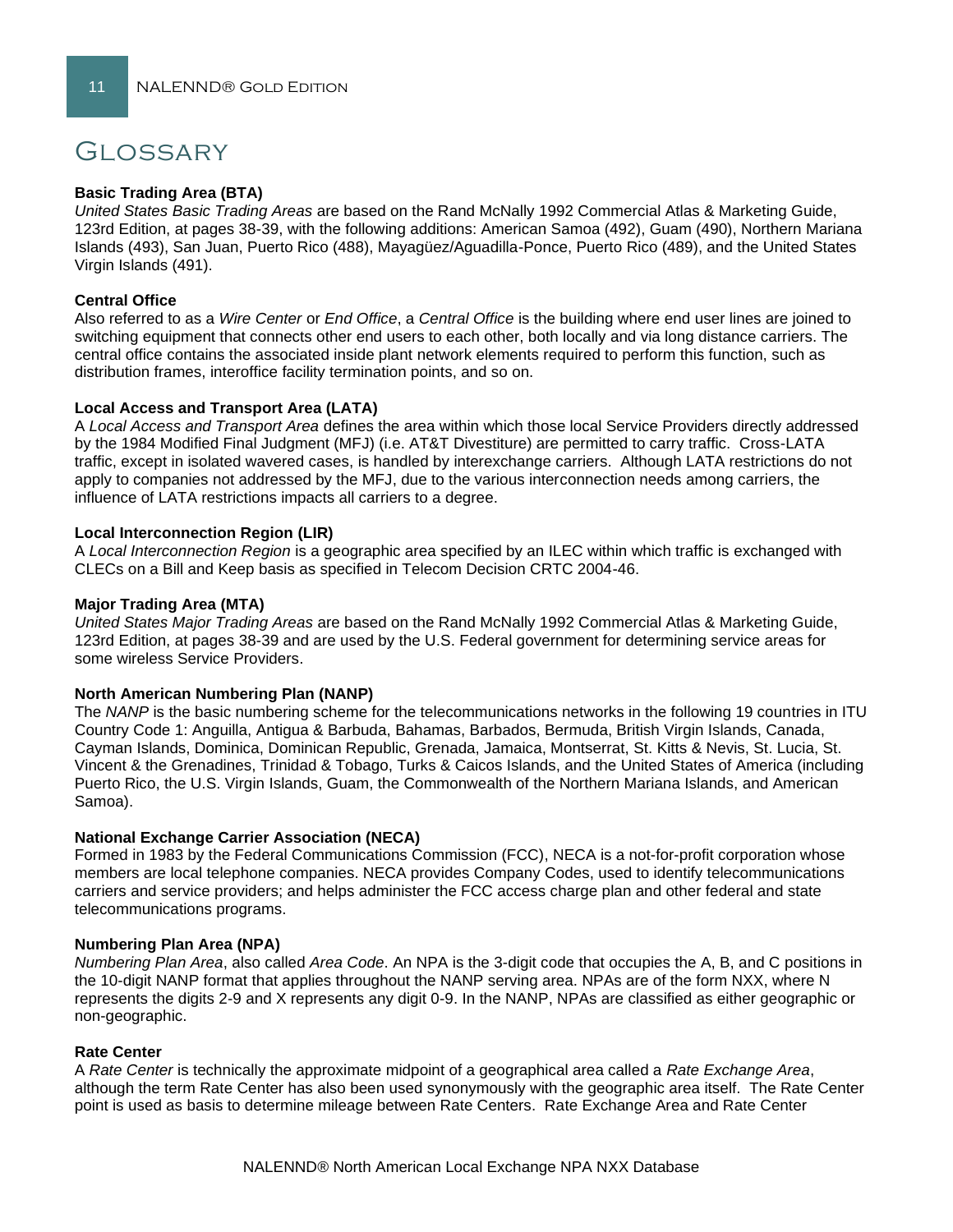# Glossary

#### **Basic Trading Area (BTA)**

*United States Basic Trading Areas* are based on the Rand McNally 1992 Commercial Atlas & Marketing Guide, 123rd Edition, at pages 38-39, with the following additions: American Samoa (492), Guam (490), Northern Mariana Islands (493), San Juan, Puerto Rico (488), Mayagüez/Aguadilla-Ponce, Puerto Rico (489), and the United States Virgin Islands (491).

#### **Central Office**

Also referred to as a *Wire Center* or *End Office*, a *Central Office* is the building where end user lines are joined to switching equipment that connects other end users to each other, both locally and via long distance carriers. The central office contains the associated inside plant network elements required to perform this function, such as distribution frames, interoffice facility termination points, and so on.

#### **Local Access and Transport Area (LATA)**

A *Local Access and Transport Area* defines the area within which those local Service Providers directly addressed by the 1984 Modified Final Judgment (MFJ) (i.e. AT&T Divestiture) are permitted to carry traffic. Cross-LATA traffic, except in isolated wavered cases, is handled by interexchange carriers. Although LATA restrictions do not apply to companies not addressed by the MFJ, due to the various interconnection needs among carriers, the influence of LATA restrictions impacts all carriers to a degree.

#### **Local Interconnection Region (LIR)**

A *Local Interconnection Region* is a geographic area specified by an ILEC within which traffic is exchanged with CLECs on a Bill and Keep basis as specified in Telecom Decision CRTC 2004-46.

#### **Major Trading Area (MTA)**

*United States Major Trading Areas* are based on the Rand McNally 1992 Commercial Atlas & Marketing Guide, 123rd Edition, at pages 38-39 and are used by the U.S. Federal government for determining service areas for some wireless Service Providers.

#### **North American Numbering Plan (NANP)**

The *NANP* is the basic numbering scheme for the telecommunications networks in the following 19 countries in ITU Country Code 1: Anguilla, Antigua & Barbuda, Bahamas, Barbados, Bermuda, British Virgin Islands, Canada, Cayman Islands, Dominica, Dominican Republic, Grenada, Jamaica, Montserrat, St. Kitts & Nevis, St. Lucia, St. Vincent & the Grenadines, Trinidad & Tobago, Turks & Caicos Islands, and the United States of America (including Puerto Rico, the U.S. Virgin Islands, Guam, the Commonwealth of the Northern Mariana Islands, and American Samoa).

#### **National Exchange Carrier Association (NECA)**

Formed in 1983 by the Federal Communications Commission (FCC), NECA is a not-for-profit corporation whose members are local telephone companies. NECA provides Company Codes, used to identify telecommunications carriers and service providers; and helps administer the FCC access charge plan and other federal and state telecommunications programs.

#### **Numbering Plan Area (NPA)**

*Numbering Plan Area*, also called *Area Code*. An NPA is the 3-digit code that occupies the A, B, and C positions in the 10-digit NANP format that applies throughout the NANP serving area. NPAs are of the form NXX, where N represents the digits 2-9 and X represents any digit 0-9. In the NANP, NPAs are classified as either geographic or non-geographic.

#### **Rate Center**

A *Rate Center* is technically the approximate midpoint of a geographical area called a *Rate Exchange Area*, although the term Rate Center has also been used synonymously with the geographic area itself. The Rate Center point is used as basis to determine mileage between Rate Centers. Rate Exchange Area and Rate Center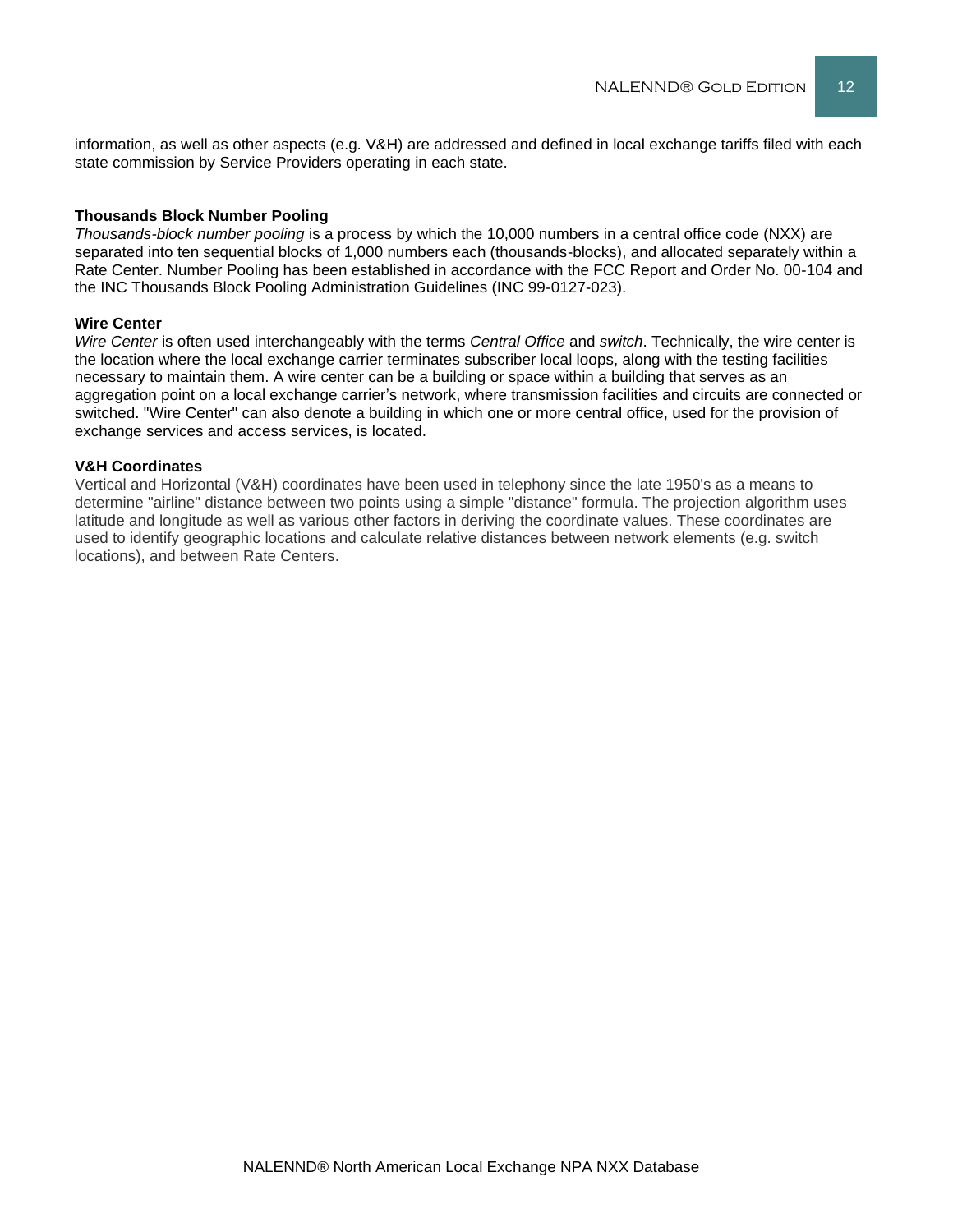information, as well as other aspects (e.g. V&H) are addressed and defined in local exchange tariffs filed with each state commission by Service Providers operating in each state.

#### **Thousands Block Number Pooling**

*Thousands-block number pooling* is a process by which the 10,000 numbers in a central office code (NXX) are separated into ten sequential blocks of 1,000 numbers each (thousands-blocks), and allocated separately within a Rate Center. Number Pooling has been established in accordance with the FCC Report and Order No. 00-104 and the INC Thousands Block Pooling Administration Guidelines (INC 99-0127-023).

#### **Wire Center**

*Wire Center* is often used interchangeably with the terms *Central Office* and *switch*. Technically, the wire center is the location where the local exchange carrier terminates subscriber local loops, along with the testing facilities necessary to maintain them. A wire center can be a building or space within a building that serves as an aggregation point on a local exchange carrier's network, where transmission facilities and circuits are connected or switched. "Wire Center" can also denote a building in which one or more central office, used for the provision of exchange services and access services, is located.

#### **V&H Coordinates**

Vertical and Horizontal (V&H) coordinates have been used in telephony since the late 1950's as a means to determine "airline" distance between two points using a simple "distance" formula. The projection algorithm uses latitude and longitude as well as various other factors in deriving the coordinate values. These coordinates are used to identify geographic locations and calculate relative distances between network elements (e.g. switch locations), and between Rate Centers.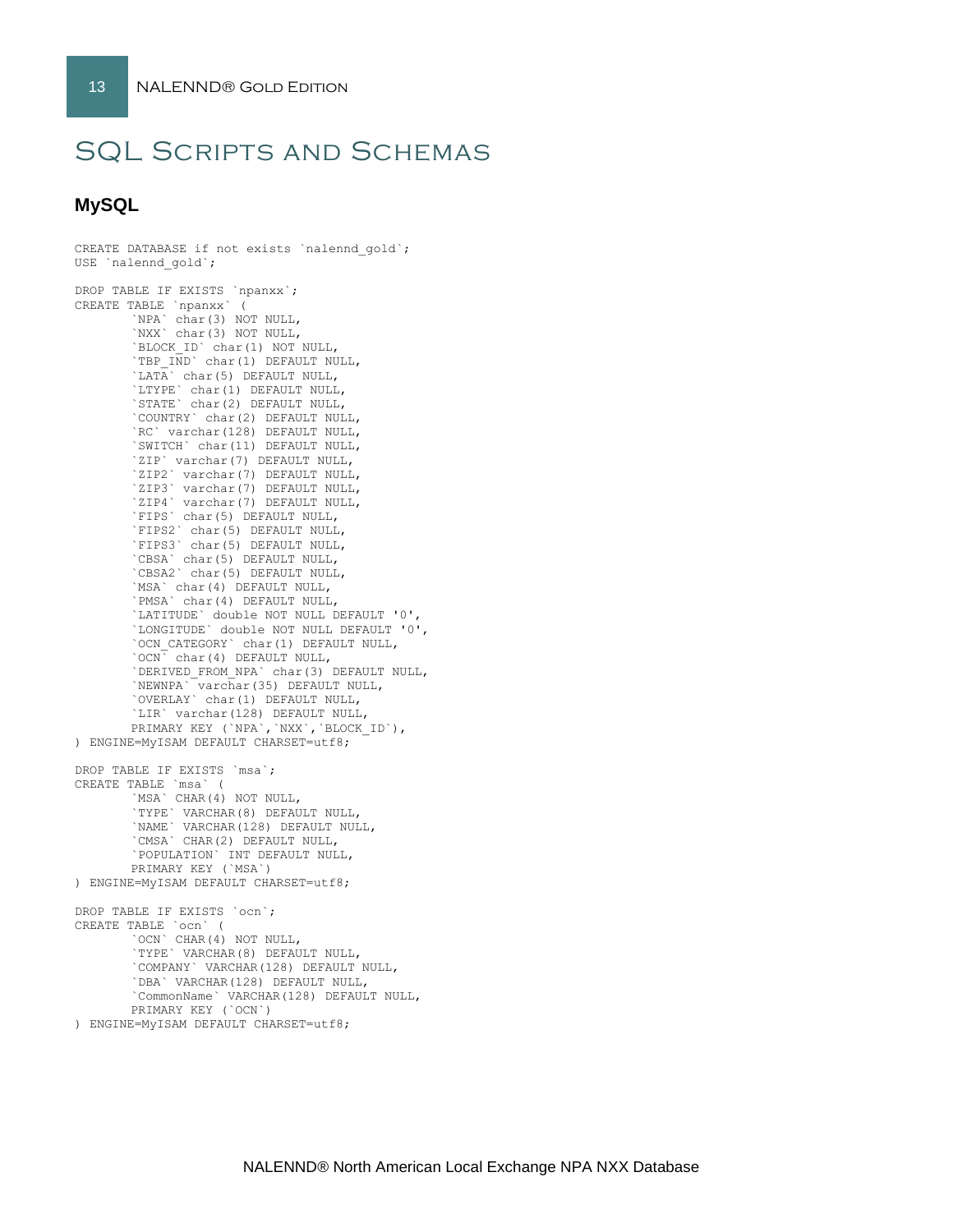# SQL Scripts and Schemas

# **MySQL**

```
CREATE DATABASE if not exists `nalennd gold`;
USE `nalennd_gold`;
DROP TABLE IF EXISTS `npanxx`;
CREATE TABLE `npanxx` (
        `NPA` char(3) NOT NULL,
       `NXX` char(3) NOT NULL,
       `BLOCK_ID` char(1) NOT NULL,
        `TBP IND` char(1) DEFAULT NULL,
       \tilde{\Gamma} char(5) DEFAULT NULL,
       `LTYPE` char(1) DEFAULT NULL,
        `STATE` char(2) DEFAULT NULL,
        `COUNTRY` char(2) DEFAULT NULL,
       `RC` varchar(128) DEFAULT NULL,
       `SWITCH` char(11) DEFAULT NULL,
        `ZIP` varchar(7) DEFAULT NULL,
       `ZIP2` varchar(7) DEFAULT NULL,
       `ZIP3` varchar(7) DEFAULT NULL,
        `ZIP4` varchar(7) DEFAULT NULL,
        `FIPS` char(5) DEFAULT NULL,
       `FIPS2` char(5) DEFAULT NULL,
        `FIPS3` char(5) DEFAULT NULL,
        `CBSA` char(5) DEFAULT NULL,
       `CBSA2` char(5) DEFAULT NULL,
       `MSA` char(4) DEFAULT NULL,
        `PMSA` char(4) DEFAULT NULL,
        `LATITUDE` double NOT NULL DEFAULT '0',
       `LONGITUDE` double NOT NULL DEFAULT '0',
       `OCN_CATEGORY` char(1) DEFAULT NULL,
        `OCN` char(4) DEFAULT NULL,
       `DERIVED_FROM_NPA` char(3) DEFAULT NULL,
       `NEWNPA` varchar(35) DEFAULT NULL,
        `OVERLAY` char(1) DEFAULT NULL,
       `LIR` varchar(128) DEFAULT NULL,
       PRIMARY KEY (`NPA`,`NXX`,`BLOCK_ID`),
) ENGINE=MyISAM DEFAULT CHARSET=utf8;
DROP TABLE IF EXISTS `msa`;
CREATE TABLE `msa` (
        `MSA` CHAR(4) NOT NULL,
        `TYPE` VARCHAR(8) DEFAULT NULL,
       `NAME` VARCHAR(128) DEFAULT NULL,
       `CMSA` CHAR(2) DEFAULT NULL,
       `POPULATION` INT DEFAULT NULL,
       PRIMARY KEY (`MSA`)
) ENGINE=MyISAM DEFAULT CHARSET=utf8;
DROP TABLE IF EXISTS `ocn`;
CREATE TABLE `ocn` (
       `OCN` CHAR(4) NOT NULL,
        `TYPE` VARCHAR(8) DEFAULT NULL,
        `COMPANY` VARCHAR(128) DEFAULT NULL,
       `DBA` VARCHAR(128) DEFAULT NULL,
        `CommonName` VARCHAR(128) DEFAULT NULL,
       PRIMARY KEY (`OCN`)
) ENGINE=MyISAM DEFAULT CHARSET=utf8;
```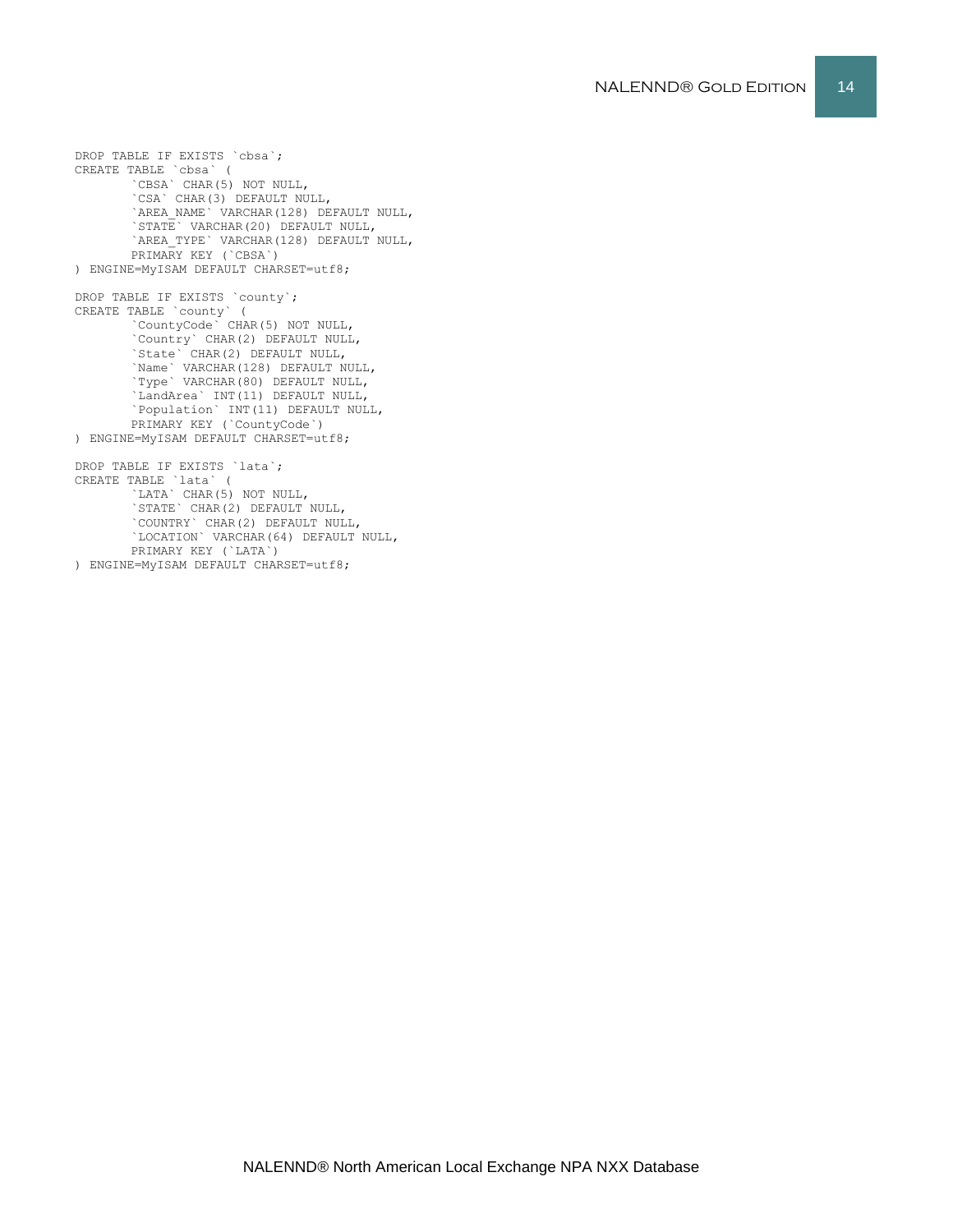`CSA` CHAR(3) DEFAULT NULL, `STATE` VARCHAR(20) DEFAULT NULL, PRIMARY KEY (`CBSA`) ) ENGINE=MyISAM DEFAULT CHARSET=utf8; DROP TABLE IF EXISTS `county`; CREATE TABLE `county` ( `CountyCode` CHAR(5) NOT NULL, `Country` CHAR(2) DEFAULT NULL, `State` CHAR(2) DEFAULT NULL, `Name` VARCHAR(128) DEFAULT NULL, `Type` VARCHAR(80) DEFAULT NULL, `LandArea` INT(11) DEFAULT NULL, `Population` INT(11) DEFAULT NULL, PRIMARY KEY (`CountyCode`) ) ENGINE=MyISAM DEFAULT CHARSET=utf8; DROP TABLE IF EXISTS `lata`; CREATE TABLE `lata` ( `LATA` CHAR(5) NOT NULL, STATE` CHAR(2) DEFAULT NULL, `COUNTRY` CHAR(2) DEFAULT NULL, `LOCATION` VARCHAR(64) DEFAULT NULL, PRIMARY KEY (`LATA`) ) ENGINE=MyISAM DEFAULT CHARSET=utf8;

DROP TABLE IF EXISTS `cbsa`; CREATE TABLE `cbsa` ( `CBSA` CHAR(5) NOT NULL, `AREA\_NAME` VARCHAR(128) DEFAULT NULL, `AREA\_TYPE` VARCHAR(128) DEFAULT NULL,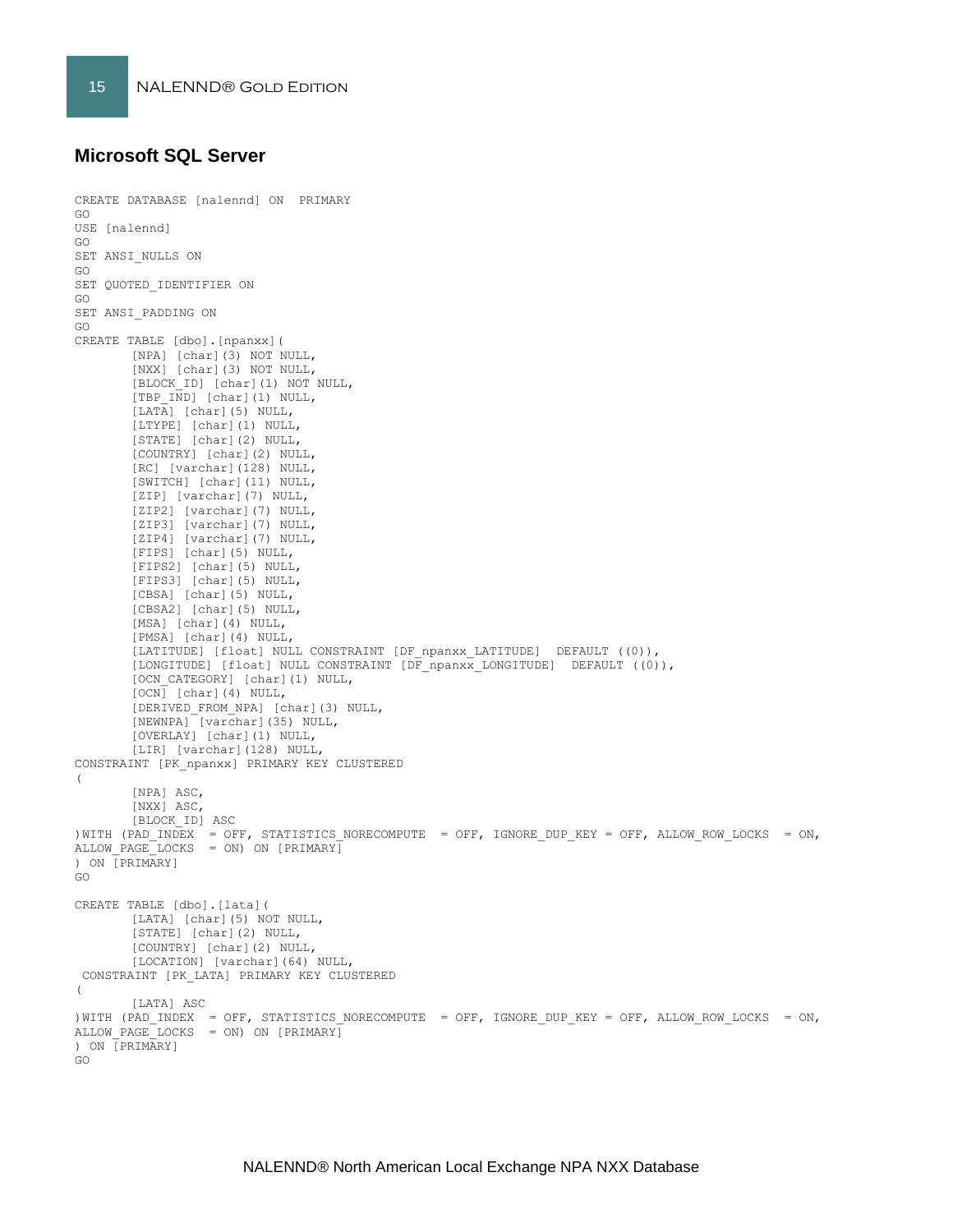## **Microsoft SQL Server**

```
CREATE DATABASE [nalennd] ON PRIMARY 
GO
USE [nalennd]
GO
SET ANSI_NULLS ON
GO
SET QUOTED IDENTIFIER ON
GO
SET ANSI_PADDING ON
GO
CREATE TABLE [dbo].[npanxx](
       [NPA] [char](3) NOT NULL,
        [NXX] [char](3) NOT NULL,
       [BLOCK_ID] [char](1) NOT NULL,
       [TBP_IND] [char](1) NULL,
       [LATA] [char](5) NULL,
       [LTYPE] [char](1) NULL,
       [STATE] [char](2) NULL,
       [COUNTRY] [char](2) NULL,
       [RC] [varchar](128) NULL,
       [SWITCH] [char](11) NULL,
       [ZIP] [varchar](7) NULL,
        [ZIP2] [varchar](7) NULL,
        [ZIP3] [varchar](7) NULL,
       [ZIP4] [varchar](7) NULL,
       [FIPS] [char](5) NULL,
        [FIPS2] [char](5) NULL,
       [FIPS3] [char](5) NULL,
       [CBSA] [char](5) NULL,
        [CBSA2] [char](5) NULL,
       [MSA] [char](4) NULL,
       [PMSA] [char](4) NULL,
       [LATITUDE] [float] NULL CONSTRAINT [DF_npanxx_LATITUDE] DEFAULT ((0)),
        [LONGITUDE] [float] NULL CONSTRAINT [DF_npanxx_LONGITUDE] DEFAULT ((0)),
        [OCN_CATEGORY] [char](1) NULL,
       [OCN] [char](4) NULL,
        [DERIVED_FROM_NPA] [char](3) NULL,
        [NEWNPA] [varchar](35) NULL,
        [OVERLAY] [char](1) NULL,
       [LIR] [varchar](128) NULL,
CONSTRAINT [PK_npanxx] PRIMARY KEY CLUSTERED 
(
       [NPA] ASC,
       [NXX] ASC,
       [BLOCK_ID] ASC
) WITH (PAD INDEX = OFF, STATISTICS NORECOMPUTE = OFF, IGNORE DUP KEY = OFF, ALLOW ROW LOCKS = ON,
ALLOW PAGE LOCKS = ON) ON [PRIMARY]
) ON [PRIMARY]
GO
CREATE TABLE [dbo].[lata](
       [LATA] [char](5) NOT NULL,
       [STATE] [char](2) NULL,
       [COUNTRY] [char](2) NULL,
       [LOCATION] [varchar](64) NULL,
CONSTRAINT [PK_LATA] PRIMARY KEY CLUSTERED 
(
       [LATA] ASC
)WITH (PAD INDEX = OFF, STATISTICS NORECOMPUTE = OFF, IGNORE DUP KEY = OFF, ALLOW ROW LOCKS = ON,
ALLOW PAGE LOCKS = ON) ON [PRIMARY]
) ON [PRIMARY]
GO
```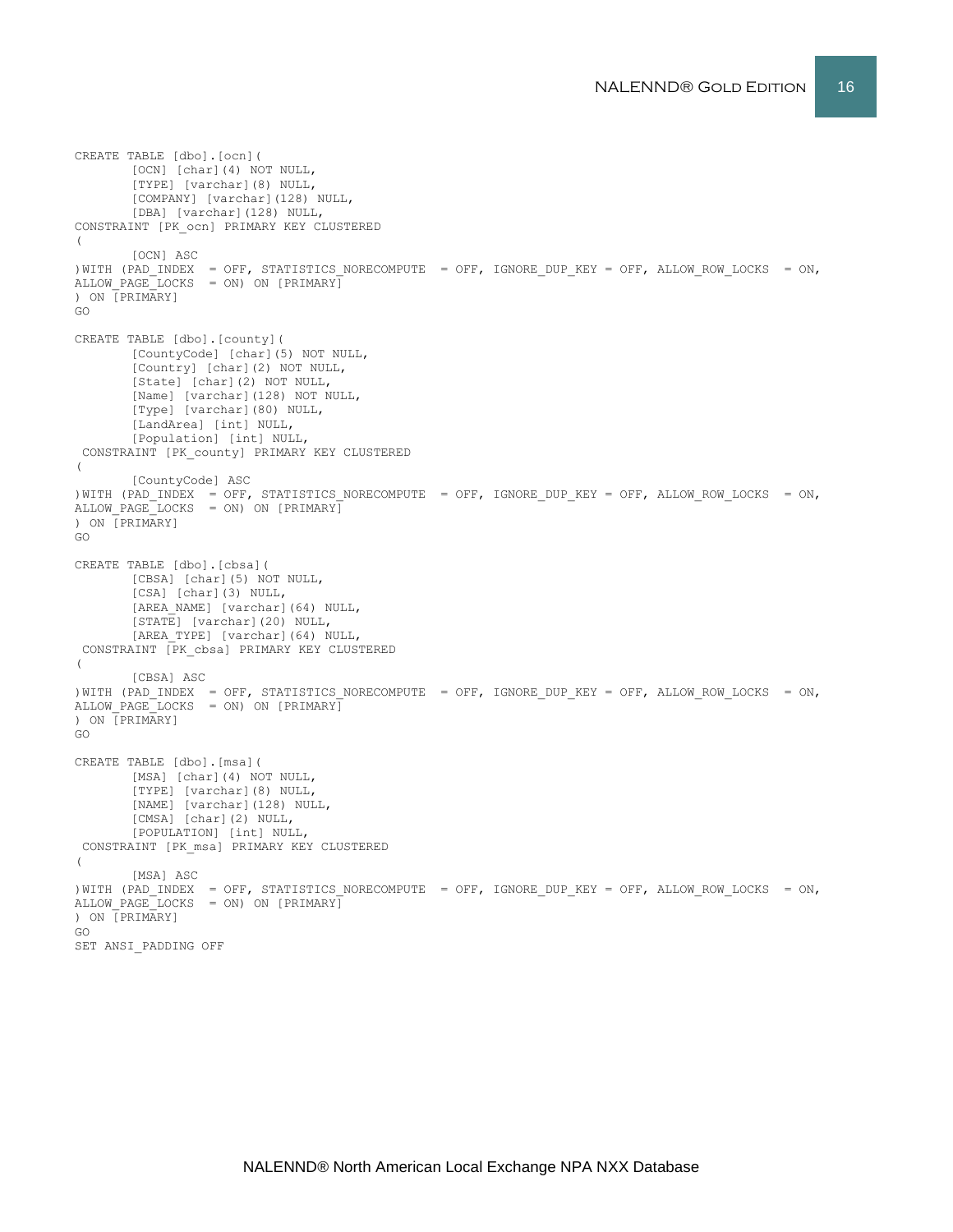```
CREATE TABLE [dbo].[ocn](
       [OCN] [char](4) NOT NULL,
       [TYPE] [varchar](8) NULL,
       [COMPANY] [varchar](128) NULL,
       [DBA] [varchar](128) NULL,
CONSTRAINT [PK_ocn] PRIMARY KEY CLUSTERED 
(
       [OCN] ASC
) WITH (PAD INDEX = OFF, STATISTICS NORECOMPUTE = OFF, IGNORE DUP KEY = OFF, ALLOW ROW LOCKS = ON,
ALLOW PAGE LOCKS = ON) ON [PRIMARY]) ON [PRIMARY]
GO
CREATE TABLE [dbo].[county](
       [CountyCode] [char](5) NOT NULL,
       [Country] [char](2) NOT NULL,
       [State] [char](2) NOT NULL,
       [Name] [varchar](128) NOT NULL,
       [Type] [varchar](80) NULL,
       [LandArea] [int] NULL,
       [Population] [int] NULL,
 CONSTRAINT [PK_county] PRIMARY KEY CLUSTERED 
(
       [CountyCode] ASC
)WITH (PAD_INDEX = OFF, STATISTICS_NORECOMPUTE = OFF, IGNORE_DUP_KEY = OFF, ALLOW_ROW_LOCKS = ON, 
ALLOW_PAGE_LOCKS = ON) ON [PRIMARY]
) ON [PRIMARY]
GO
CREATE TABLE [dbo].[cbsa](
       [CBSA] [char](5) NOT NULL,
       [CSA] [char](3) NULL,
       [AREA NAME] [varchar](64) NULL,
       [STATE] [varchar](20) NULL,
       [AREA_TYPE] [varchar](64) NULL,
CONSTRAINT [PK_cbsa] PRIMARY KEY CLUSTERED 
(
       [CBSA] ASC
)WITH (PAD_INDEX = OFF, STATISTICS_NORECOMPUTE = OFF, IGNORE_DUP_KEY = OFF, ALLOW_ROW_LOCKS = ON, 
ALLOW PAGE LOCKS = ON) ON [PRIMARY]) ON [PRIMARY]
GO
CREATE TABLE [dbo].[msa](
       [MSA] [char](4) NOT NULL,
       [TYPE] [varchar](8) NULL,
       [NAME] [varchar](128) NULL,
       [CMSA] [char](2) NULL,
       [POPULATION] [int] NULL,
CONSTRAINT [PK_msa] PRIMARY KEY CLUSTERED 
(
       [MSA] ASC
)WITH (PAD_INDEX = OFF, STATISTICS_NORECOMPUTE = OFF, IGNORE_DUP_KEY = OFF, ALLOW_ROW_LOCKS = ON, 
ALLOW_PAGE_LOCKS = ON) ON [PRIMARY]
) ON [PRIMARY]
GO
SET ANSI_PADDING OFF
```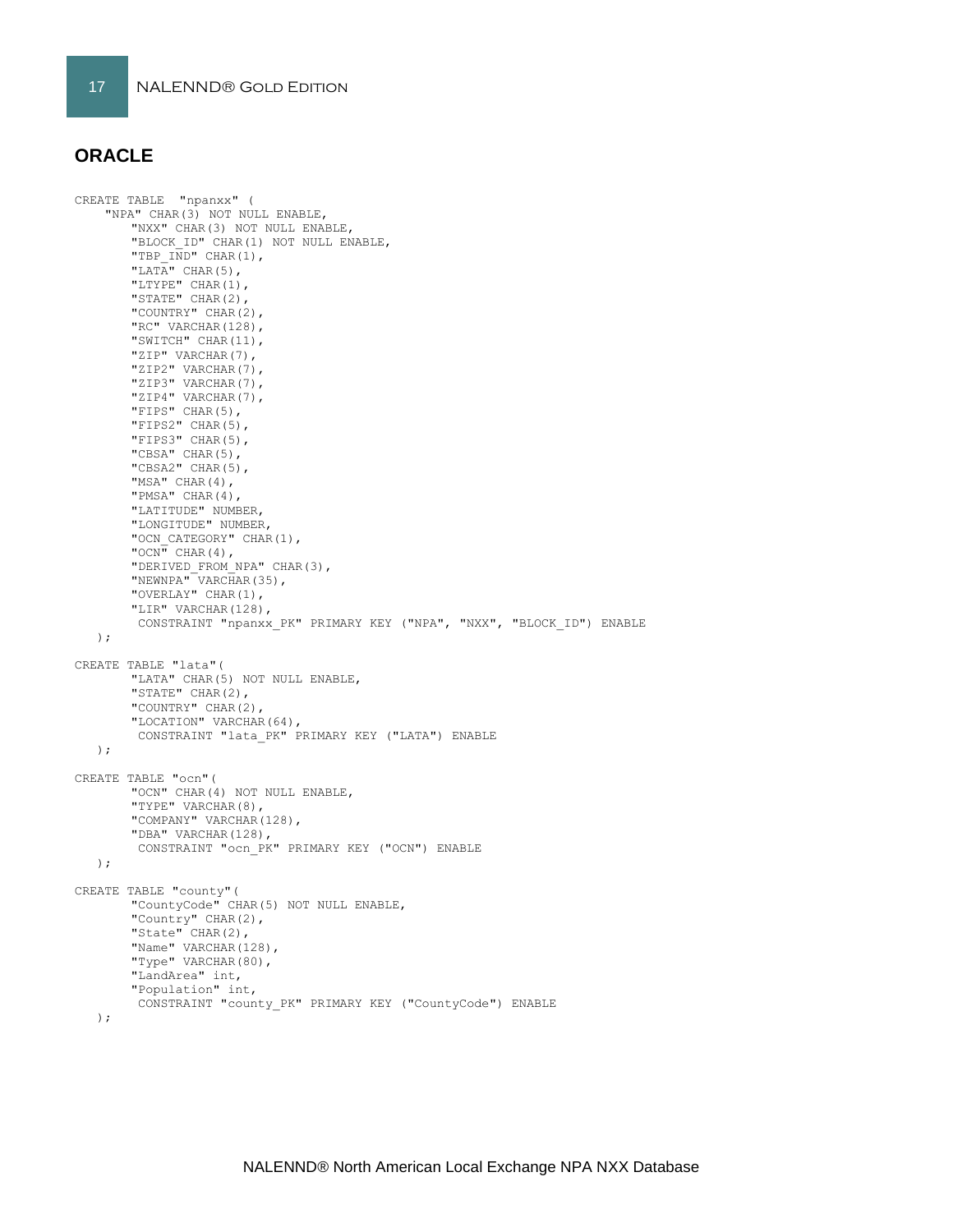## **ORACLE**

```
CREATE TABLE "npanxx" (
     "NPA" CHAR(3) NOT NULL ENABLE, 
       "NXX" CHAR(3) NOT NULL ENABLE, 
       "BLOCK_ID" CHAR(1) NOT NULL ENABLE, 
       "TBP \overline{IND}" CHAR(1),
       "LATA" CHAR(5),
       "LTYPE" CHAR(1), 
        "STATE" CHAR(2), 
        "COUNTRY" CHAR(2), 
        "RC" VARCHAR(128),
       "SWITCH" CHAR(11), 
        "ZIP" VARCHAR(7), 
       "ZIP2" VARCHAR(7),
       "ZIP3" VARCHAR(7), 
       "ZIP4" VARCHAR(7),
        "FIPS" CHAR(5), 
        "FIPS2" CHAR(5), 
       "FIPS3" CHAR(5), 
        "CBSA" CHAR(5),
        "CBSA2" CHAR(5), 
        "MSA" CHAR(4), 
       "PMSA" CHAR(4), 
        "LATITUDE" NUMBER, 
        "LONGITUDE" NUMBER, 
        "OCN CATEGORY" CHAR(1),
        "OCN" CHAR(4),
        "DERIVED_FROM_NPA" CHAR(3), 
       "NEWNPA" VARCHAR(35),
        "OVERLAY" CHAR(1),
        "LIR" VARCHAR(128), 
        CONSTRAINT "npanxx_PK" PRIMARY KEY ("NPA", "NXX", "BLOCK_ID") ENABLE
    );
CREATE TABLE "lata"(
        "LATA" CHAR(5) NOT NULL ENABLE,
       "STATE" CHAR(2),
        "COUNTRY" CHAR(2),
        "LOCATION" VARCHAR(64),
        CONSTRAINT "lata_PK" PRIMARY KEY ("LATA") ENABLE
   );
CREATE TABLE "ocn"(
       "OCN" CHAR(4) NOT NULL ENABLE,
        "TYPE" VARCHAR(8),
        "COMPANY" VARCHAR(128),
       "DBA" VARCHAR(128),
        CONSTRAINT "ocn_PK" PRIMARY KEY ("OCN") ENABLE
    );
CREATE TABLE "county"(
        "CountyCode" CHAR(5) NOT NULL ENABLE,
        "Country" CHAR(2),
        "State" CHAR(2),
       "Name" VARCHAR(128),
        "Type" VARCHAR(80),
        "LandArea" int,
       "Population" int,
        CONSTRAINT "county_PK" PRIMARY KEY ("CountyCode") ENABLE
    );
```
NALENND® North American Local Exchange NPA NXX Database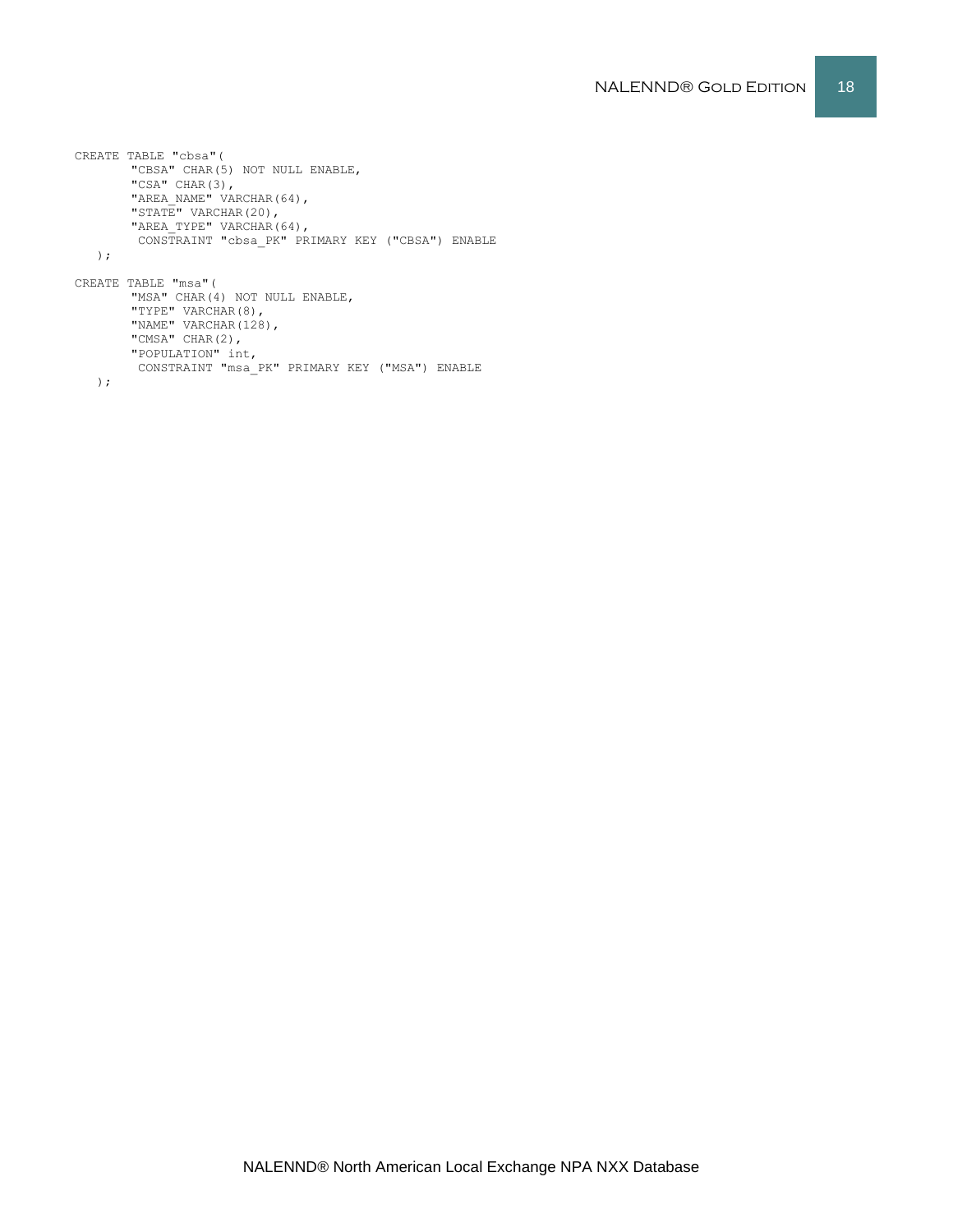```
CREATE TABLE "cbsa"(
       "CBSA" CHAR(5) NOT NULL ENABLE,
       "CSA" CHAR(3),
       "AREA NAME" VARCHAR(64),
       "STATE" VARCHAR(20),
      "AREA TYPE" VARCHAR(64),
       CONSTRAINT "cbsa_PK" PRIMARY KEY ("CBSA") ENABLE
   );
CREATE TABLE "msa"(
       "MSA" CHAR(4) NOT NULL ENABLE,
       "TYPE" VARCHAR(8),
       "NAME" VARCHAR(128),
       "CMSA" CHAR(2),
        "POPULATION" int,
         CONSTRAINT "msa_PK" PRIMARY KEY ("MSA") ENABLE
```
);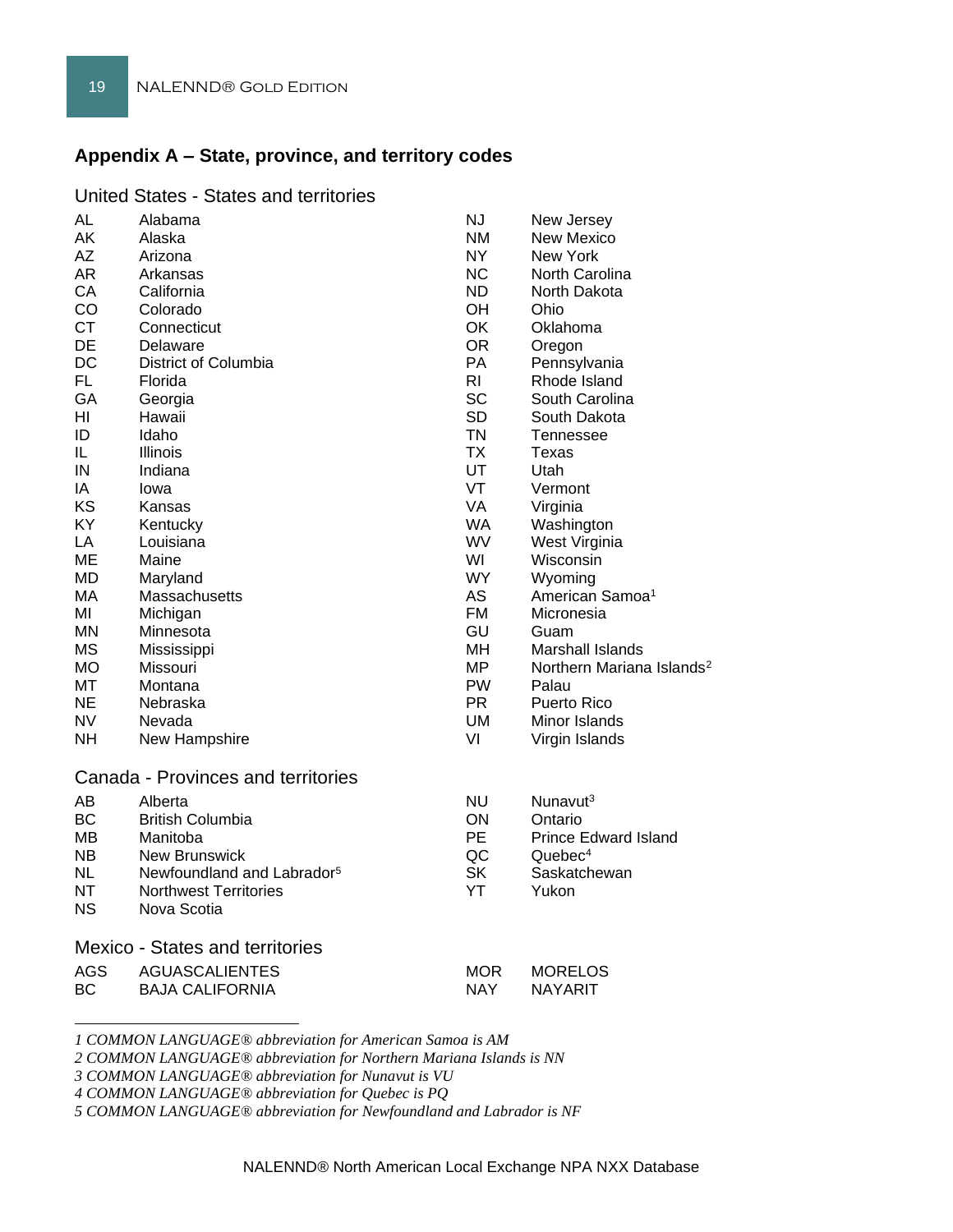# **Appendix A – State, province, and territory codes**

| United States - States and territories |  |  |
|----------------------------------------|--|--|
|----------------------------------------|--|--|

| <b>AL</b><br>AK<br>AΖ<br>AR<br>СA<br>CO<br><b>CT</b><br>DE<br><b>DC</b><br><b>FL</b><br>GA<br>ΗI<br>ID<br>IL.<br>IN<br>IA<br>KS<br>ΚY<br>LA<br>MЕ<br><b>MD</b><br>МA<br>ΜI<br>ΜN<br><b>MS</b><br>МO<br>МT<br>NE.<br><b>NV</b><br>NH. | Alabama<br>Alaska<br>Arizona<br>Arkansas<br>California<br>Colorado<br>Connecticut<br>Delaware<br>District of Columbia<br>Florida<br>Georgia<br>Hawaii<br>Idaho<br>Illinois<br>Indiana<br>lowa<br>Kansas<br>Kentucky<br>Louisiana<br>Maine<br>Maryland<br>Massachusetts<br>Michigan<br>Minnesota<br>Mississippi<br>Missouri<br>Montana<br>Nebraska<br>Nevada<br>New Hampshire | <b>NJ</b><br><b>NM</b><br>NY.<br><b>NC</b><br>ND.<br><b>OH</b><br>OK<br><b>OR</b><br>PA<br>R <sub>l</sub><br><b>SC</b><br><b>SD</b><br><b>TN</b><br><b>TX</b><br><b>UT</b><br>VT<br><b>VA</b><br><b>WA</b><br><b>WV</b><br>WI<br><b>WY</b><br><b>AS</b><br><b>FM</b><br>GU<br>MH<br>MP<br><b>PW</b><br><b>PR</b><br>UM.<br>VI | New Jersey<br><b>New Mexico</b><br>New York<br>North Carolina<br>North Dakota<br>Ohio<br>Oklahoma<br>Oregon<br>Pennsylvania<br>Rhode Island<br>South Carolina<br>South Dakota<br>Tennessee<br>Texas<br>Utah<br>Vermont<br>Virginia<br>Washington<br>West Virginia<br>Wisconsin<br>Wyoming<br>American Samoa <sup>1</sup><br>Micronesia<br>Guam<br>Marshall Islands<br>Northern Mariana Islands <sup>2</sup><br>Palau<br><b>Puerto Rico</b><br>Minor Islands<br>Virgin Islands |
|--------------------------------------------------------------------------------------------------------------------------------------------------------------------------------------------------------------------------------------|------------------------------------------------------------------------------------------------------------------------------------------------------------------------------------------------------------------------------------------------------------------------------------------------------------------------------------------------------------------------------|-------------------------------------------------------------------------------------------------------------------------------------------------------------------------------------------------------------------------------------------------------------------------------------------------------------------------------|-------------------------------------------------------------------------------------------------------------------------------------------------------------------------------------------------------------------------------------------------------------------------------------------------------------------------------------------------------------------------------------------------------------------------------------------------------------------------------|
|                                                                                                                                                                                                                                      |                                                                                                                                                                                                                                                                                                                                                                              |                                                                                                                                                                                                                                                                                                                               |                                                                                                                                                                                                                                                                                                                                                                                                                                                                               |
| <b>AB</b>                                                                                                                                                                                                                            | Canada - Provinces and territories                                                                                                                                                                                                                                                                                                                                           | <b>NU</b>                                                                                                                                                                                                                                                                                                                     | Nunavut <sup>3</sup>                                                                                                                                                                                                                                                                                                                                                                                                                                                          |
| ВC<br>MВ<br>NB.<br>NL<br>NΤ<br>NS.                                                                                                                                                                                                   | Alberta<br><b>British Columbia</b><br>Manitoba<br><b>New Brunswick</b><br>Newfoundland and Labrador <sup>5</sup><br><b>Northwest Territories</b><br>Nova Scotia                                                                                                                                                                                                              | ON.<br><b>PE</b><br>QC<br><b>SK</b><br>YT                                                                                                                                                                                                                                                                                     | Ontario<br><b>Prince Edward Island</b><br>Quebec <sup>4</sup><br>Saskatchewan<br>Yukon                                                                                                                                                                                                                                                                                                                                                                                        |
| <b>Mexico - States and territories</b>                                                                                                                                                                                               |                                                                                                                                                                                                                                                                                                                                                                              |                                                                                                                                                                                                                                                                                                                               |                                                                                                                                                                                                                                                                                                                                                                                                                                                                               |
| <b>AGS</b><br>BС                                                                                                                                                                                                                     | <b>AGUASCALIENTES</b><br><b>BAJA CALIFORNIA</b>                                                                                                                                                                                                                                                                                                                              | <b>MOR</b><br><b>NAY</b>                                                                                                                                                                                                                                                                                                      | <b>MORELOS</b><br><b>NAYARIT</b>                                                                                                                                                                                                                                                                                                                                                                                                                                              |
|                                                                                                                                                                                                                                      |                                                                                                                                                                                                                                                                                                                                                                              |                                                                                                                                                                                                                                                                                                                               |                                                                                                                                                                                                                                                                                                                                                                                                                                                                               |

*1 COMMON LANGUAGE® abbreviation for American Samoa is AM*

*2 COMMON LANGUAGE® abbreviation for Northern Mariana Islands is NN*

*3 COMMON LANGUAGE® abbreviation for Nunavut is VU*

*4 COMMON LANGUAGE® abbreviation for Quebec is PQ*

*5 COMMON LANGUAGE® abbreviation for Newfoundland and Labrador is NF*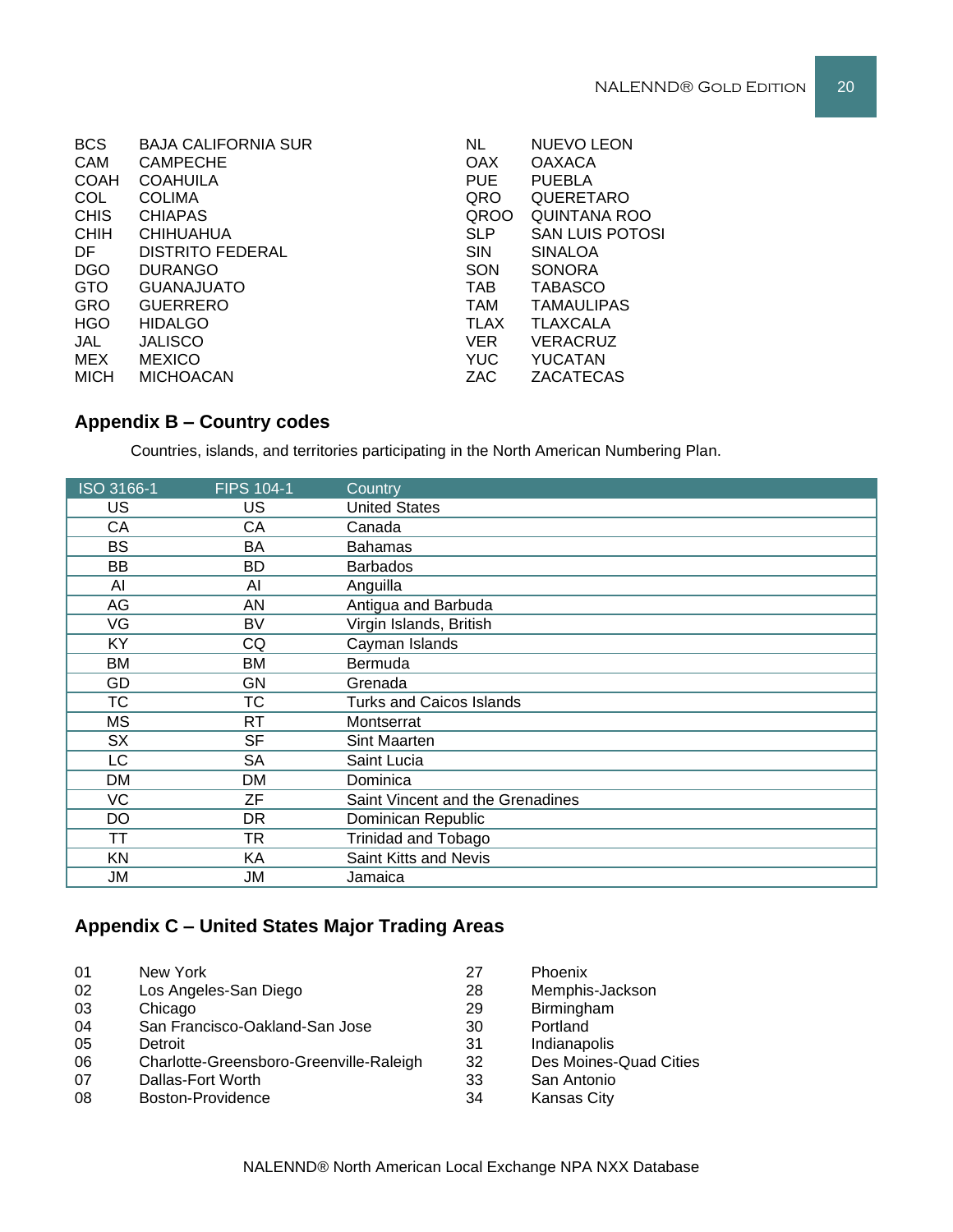| <b>BCS</b>  | <b>BAJA CALIFORNIA SUR</b> | <b>NL</b>   | <b>NUEVO LEON</b>      |
|-------------|----------------------------|-------------|------------------------|
| CAM         | <b>CAMPECHE</b>            | <b>OAX</b>  | <b>OAXACA</b>          |
| <b>COAH</b> | <b>COAHUILA</b>            | <b>PUE</b>  | <b>PUEBLA</b>          |
| <b>COL</b>  | <b>COLIMA</b>              | QRO         | QUERETARO              |
| <b>CHIS</b> | <b>CHIAPAS</b>             | <b>QROO</b> | <b>QUINTANA ROO</b>    |
| <b>CHIH</b> | <b>CHIHUAHUA</b>           | <b>SLP</b>  | <b>SAN LUIS POTOSI</b> |
| DF.         | <b>DISTRITO FEDERAL</b>    | <b>SIN</b>  | <b>SINALOA</b>         |
| <b>DGO</b>  | <b>DURANGO</b>             | SON         | <b>SONORA</b>          |
| <b>GTO</b>  | <b>GUANAJUATO</b>          | <b>TAB</b>  | <b>TABASCO</b>         |
| <b>GRO</b>  | <b>GUERRERO</b>            | <b>TAM</b>  | <b>TAMAULIPAS</b>      |
| <b>HGO</b>  | <b>HIDALGO</b>             | <b>TLAX</b> | <b>TLAXCALA</b>        |
| JAL         | <b>JALISCO</b>             | <b>VER</b>  | <b>VERACRUZ</b>        |
| MEX         | <b>MEXICO</b>              | <b>YUC</b>  | <b>YUCATAN</b>         |
| <b>MICH</b> | <b>MICHOACAN</b>           | ZAC         | ZACATECAS              |
|             |                            |             |                        |

# **Appendix B – Country codes**

Countries, islands, and territories participating in the North American Numbering Plan.

| ISO 3166-1 | <b>FIPS 104-1</b> | Country                          |
|------------|-------------------|----------------------------------|
| US         | <b>US</b>         | <b>United States</b>             |
| CA         | СA                | Canada                           |
| <b>BS</b>  | BA                | <b>Bahamas</b>                   |
| BB         | BD                | <b>Barbados</b>                  |
| Al         | AI                | Anguilla                         |
| AG         | AN                | Antigua and Barbuda              |
| VG         | BV                | Virgin Islands, British          |
| KY         | CQ                | Cayman Islands                   |
| <b>BM</b>  | BM                | Bermuda                          |
| GD         | GN                | Grenada                          |
| ТC         | ТC                | <b>Turks and Caicos Islands</b>  |
| МS         | RT                | Montserrat                       |
| <b>SX</b>  | <b>SF</b>         | Sint Maarten                     |
| LC         | SA                | Saint Lucia                      |
| DM         | DM                | Dominica                         |
| VC         | ZF                | Saint Vincent and the Grenadines |
| DO         | DR.               | Dominican Republic               |
| TΤ         | <b>TR</b>         | <b>Trinidad and Tobago</b>       |
| <b>KN</b>  | KA                | Saint Kitts and Nevis            |
| JM         | JM                | Jamaica                          |

# **Appendix C – United States Major Trading Areas**

| 01 | New York                                | 27 | Phoenix                |
|----|-----------------------------------------|----|------------------------|
| 02 | Los Angeles-San Diego                   | 28 | Memphis-Jackson        |
| 03 | Chicago                                 | 29 | Birmingham             |
| 04 | San Francisco-Oakland-San Jose          | 30 | Portland               |
| 05 | Detroit                                 | 31 | Indianapolis           |
| 06 | Charlotte-Greensboro-Greenville-Raleigh | 32 | Des Moines-Quad Cities |
| 07 | Dallas-Fort Worth                       | 33 | San Antonio            |
| 08 | Boston-Providence                       | 34 | <b>Kansas City</b>     |